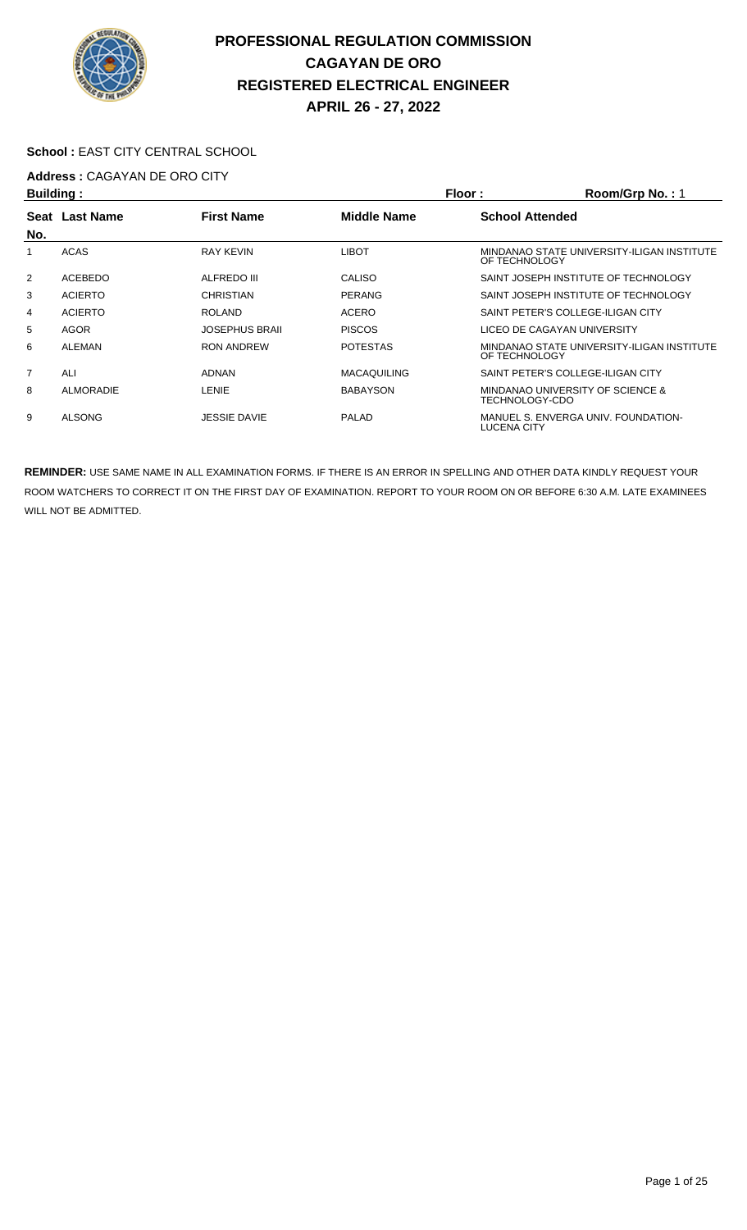

### School : EAST CITY CENTRAL SCHOOL

# Address : CAGAYAN DE ORO CITY

| Building:      |                  |                       | Floor:             | Room/Grp No.: 1        |                                            |
|----------------|------------------|-----------------------|--------------------|------------------------|--------------------------------------------|
|                | Seat Last Name   | <b>First Name</b>     | <b>Middle Name</b> | <b>School Attended</b> |                                            |
| No.            |                  |                       |                    |                        |                                            |
|                | <b>ACAS</b>      | <b>RAY KEVIN</b>      | <b>LIBOT</b>       | OF TECHNOLOGY          | MINDANAO STATE UNIVERSITY-ILIGAN INSTITUTE |
| 2              | <b>ACEBEDO</b>   | ALFREDO III           | CALISO             |                        | SAINT JOSEPH INSTITUTE OF TECHNOLOGY       |
| 3              | <b>ACIERTO</b>   | CHRISTIAN             | <b>PERANG</b>      |                        | SAINT JOSEPH INSTITUTE OF TECHNOLOGY       |
| 4              | <b>ACIERTO</b>   | <b>ROLAND</b>         | <b>ACERO</b>       |                        | SAINT PETER'S COLLEGE-ILIGAN CITY          |
| 5              | <b>AGOR</b>      | <b>JOSEPHUS BRAIL</b> | <b>PISCOS</b>      |                        | LICEO DE CAGAYAN UNIVERSITY                |
| 6              | <b>ALEMAN</b>    | <b>RON ANDREW</b>     | <b>POTESTAS</b>    | OF TECHNOLOGY          | MINDANAO STATE UNIVERSITY-ILIGAN INSTITUTE |
| $\overline{7}$ | ALI              | ADNAN                 | <b>MACAQUILING</b> |                        | SAINT PETER'S COLLEGE-ILIGAN CITY          |
| 8              | <b>ALMORADIE</b> | LENIE                 | <b>BABAYSON</b>    | TECHNOLOGY-CDO         | MINDANAO UNIVERSITY OF SCIENCE &           |
| 9              | <b>ALSONG</b>    | <b>JESSIE DAVIE</b>   | PALAD              | LUCENA CITY            | MANUEL S. ENVERGA UNIV. FOUNDATION-        |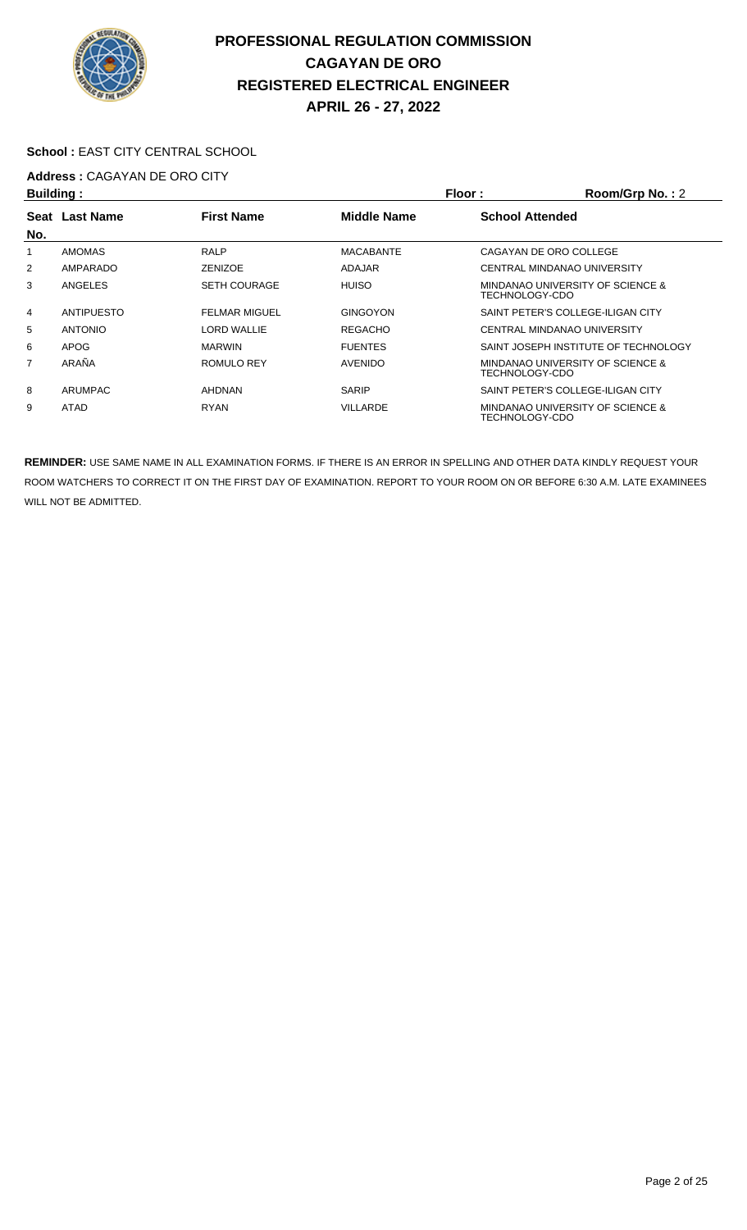

#### School : EAST CITY CENTRAL SCHOOL

# **Address :** CAGAYAN DE ORO CITY

| <b>Building:</b> |                   |                      | Floor:<br>Room/Grp No.: 2 |                        |                                      |
|------------------|-------------------|----------------------|---------------------------|------------------------|--------------------------------------|
| Seat             | <b>Last Name</b>  | <b>First Name</b>    | <b>Middle Name</b>        | <b>School Attended</b> |                                      |
| No.              |                   |                      |                           |                        |                                      |
|                  | <b>AMOMAS</b>     | <b>RALP</b>          | <b>MACABANTE</b>          |                        | CAGAYAN DE ORO COLLEGE               |
| 2                | AMPARADO          | <b>ZENIZOE</b>       | ADAJAR                    |                        | CENTRAL MINDANAO UNIVERSITY          |
| 3                | ANGELES           | <b>SETH COURAGE</b>  | <b>HUISO</b>              | TECHNOLOGY-CDO         | MINDANAO UNIVERSITY OF SCIENCE &     |
| 4                | <b>ANTIPUESTO</b> | <b>FELMAR MIGUEL</b> | <b>GINGOYON</b>           |                        | SAINT PETER'S COLLEGE-ILIGAN CITY    |
| 5                | <b>ANTONIO</b>    | <b>LORD WALLIE</b>   | <b>REGACHO</b>            |                        | CENTRAL MINDANAO UNIVERSITY          |
| 6                | <b>APOG</b>       | <b>MARWIN</b>        | <b>FUENTES</b>            |                        | SAINT JOSEPH INSTITUTE OF TECHNOLOGY |
| 7                | ARAÑA             | ROMULO REY           | <b>AVENIDO</b>            | TECHNOLOGY-CDO         | MINDANAO UNIVERSITY OF SCIENCE &     |
| 8                | ARUMPAC           | <b>AHDNAN</b>        | <b>SARIP</b>              |                        | SAINT PETER'S COLLEGE-ILIGAN CITY    |
| 9                | ATAD              | <b>RYAN</b>          | VILLARDE                  | TECHNOLOGY-CDO         | MINDANAO UNIVERSITY OF SCIENCE &     |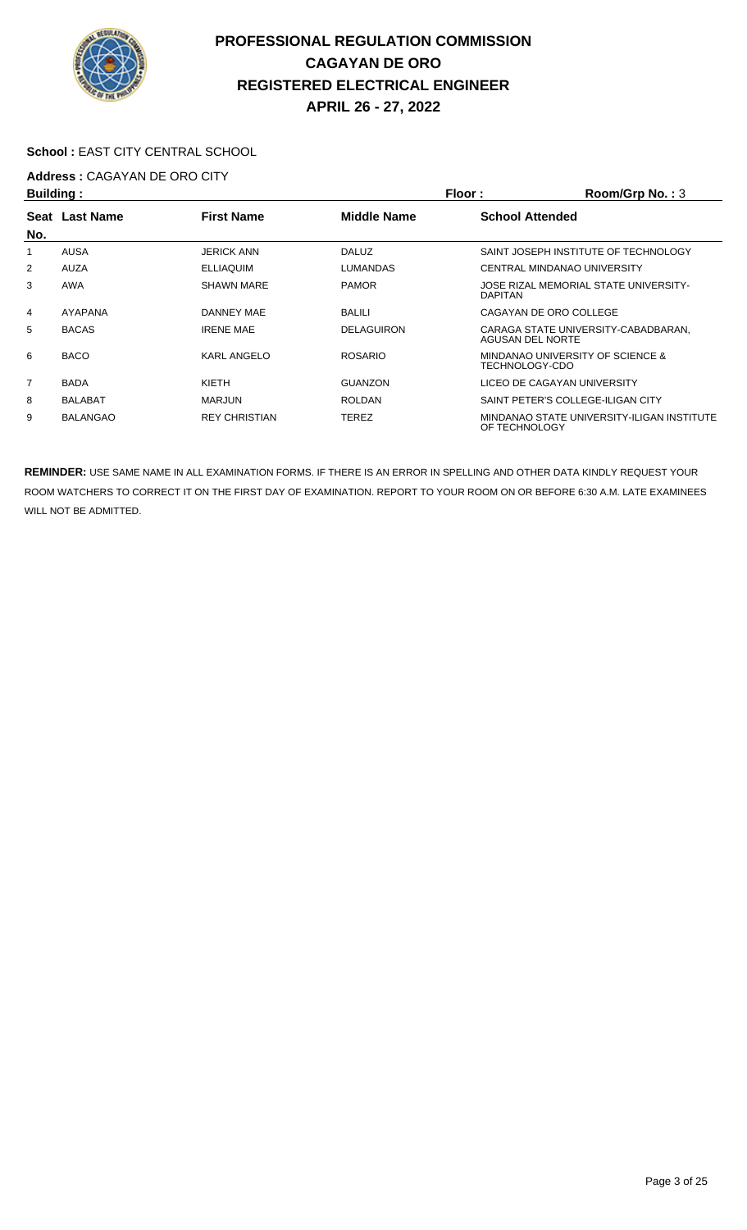

#### School : EAST CITY CENTRAL SCHOOL

# **Address :** CAGAYAN DE ORO CITY

| <b>Building:</b> |                  |                      | Floor:<br>Room/Grp No.: $3$ |                        |                                            |
|------------------|------------------|----------------------|-----------------------------|------------------------|--------------------------------------------|
| <b>Seat</b>      | <b>Last Name</b> | <b>First Name</b>    | <b>Middle Name</b>          | <b>School Attended</b> |                                            |
| No.              |                  |                      |                             |                        |                                            |
|                  | <b>AUSA</b>      | <b>JERICK ANN</b>    | <b>DALUZ</b>                |                        | SAINT JOSEPH INSTITUTE OF TECHNOLOGY       |
| 2                | <b>AUZA</b>      | <b>ELLIAQUIM</b>     | <b>LUMANDAS</b>             |                        | CENTRAL MINDANAO UNIVERSITY                |
| 3                | AWA              | <b>SHAWN MARE</b>    | <b>PAMOR</b>                | <b>DAPITAN</b>         | JOSE RIZAL MEMORIAL STATE UNIVERSITY-      |
| 4                | <b>AYAPANA</b>   | DANNEY MAE           | <b>BALILI</b>               |                        | CAGAYAN DE ORO COLLEGE                     |
| 5                | <b>BACAS</b>     | <b>IRENE MAE</b>     | <b>DELAGUIRON</b>           | AGUSAN DEL NORTE       | CARAGA STATE UNIVERSITY-CABADBARAN.        |
| 6                | <b>BACO</b>      | KARL ANGELO          | <b>ROSARIO</b>              | TECHNOLOGY-CDO         | MINDANAO UNIVERSITY OF SCIENCE &           |
| $\overline{7}$   | <b>BADA</b>      | KIETH                | <b>GUANZON</b>              |                        | LICEO DE CAGAYAN UNIVERSITY                |
| 8                | <b>BALABAT</b>   | <b>MARJUN</b>        | <b>ROLDAN</b>               |                        | SAINT PETER'S COLLEGE-ILIGAN CITY          |
| 9                | <b>BALANGAO</b>  | <b>REY CHRISTIAN</b> | <b>TEREZ</b>                | OF TECHNOLOGY          | MINDANAO STATE UNIVERSITY-ILIGAN INSTITUTE |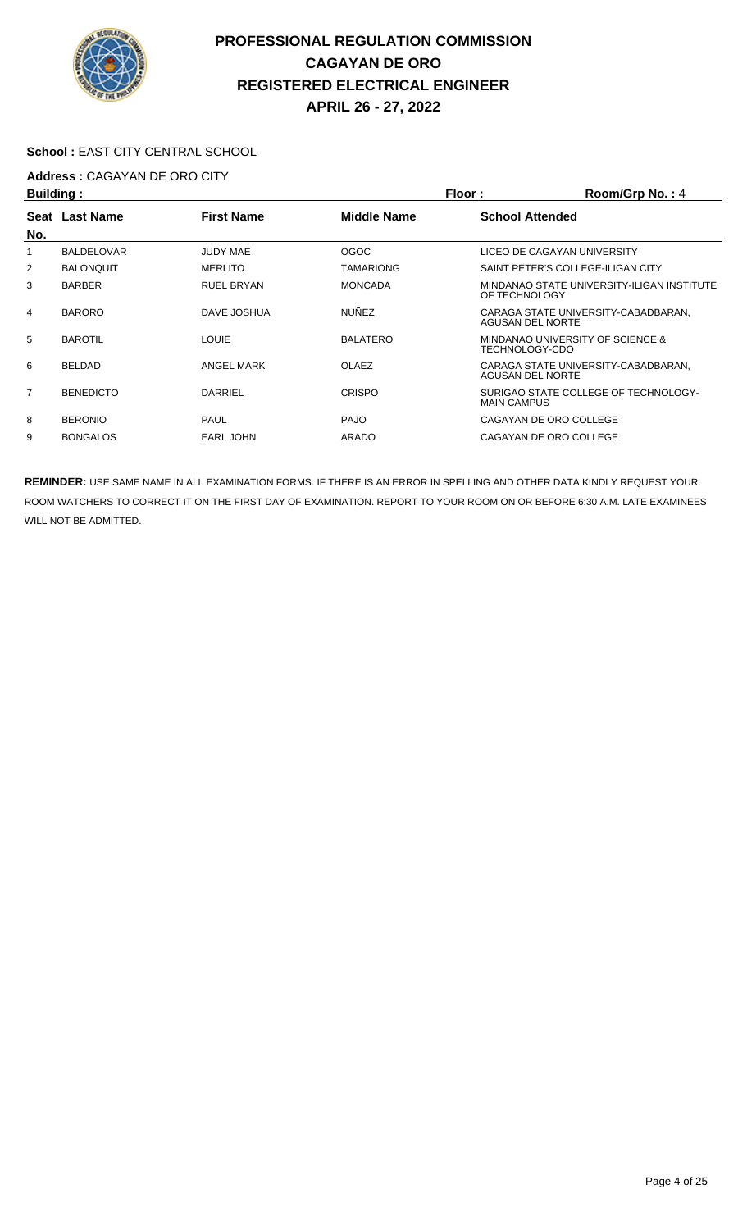

#### School : EAST CITY CENTRAL SCHOOL

# **Address :** CAGAYAN DE ORO CITY

|                | Building:         |                   |                  |                        | Room/Grp No.: 4                            |
|----------------|-------------------|-------------------|------------------|------------------------|--------------------------------------------|
|                | Seat Last Name    | <b>First Name</b> | Middle Name      | <b>School Attended</b> |                                            |
| No.            |                   |                   |                  |                        |                                            |
|                | <b>BALDELOVAR</b> | <b>JUDY MAE</b>   | <b>OGOC</b>      |                        | LICEO DE CAGAYAN UNIVERSITY                |
| 2              | <b>BALONQUIT</b>  | <b>MERLITO</b>    | <b>TAMARIONG</b> |                        | SAINT PETER'S COLLEGE-ILIGAN CITY          |
| 3              | <b>BARBER</b>     | <b>RUEL BRYAN</b> | <b>MONCADA</b>   | OF TECHNOLOGY          | MINDANAO STATE UNIVERSITY-ILIGAN INSTITUTE |
| 4              | <b>BARORO</b>     | DAVE JOSHUA       | <b>NUÑEZ</b>     | AGUSAN DEL NORTE       | CARAGA STATE UNIVERSITY-CABADBARAN.        |
| 5              | <b>BAROTIL</b>    | <b>LOUIE</b>      | <b>BALATERO</b>  | TECHNOLOGY-CDO         | MINDANAO UNIVERSITY OF SCIENCE &           |
| 6              | <b>BELDAD</b>     | ANGEL MARK        | <b>OLAEZ</b>     | AGUSAN DEL NORTE       | CARAGA STATE UNIVERSITY-CABADBARAN.        |
| $\overline{7}$ | <b>BENEDICTO</b>  | <b>DARRIEL</b>    | <b>CRISPO</b>    | <b>MAIN CAMPUS</b>     | SURIGAO STATE COLLEGE OF TECHNOLOGY-       |
| 8              | <b>BERONIO</b>    | <b>PAUL</b>       | <b>PAJO</b>      |                        | CAGAYAN DE ORO COLLEGE                     |
| 9              | <b>BONGALOS</b>   | <b>EARL JOHN</b>  | <b>ARADO</b>     |                        | CAGAYAN DE ORO COLLEGE                     |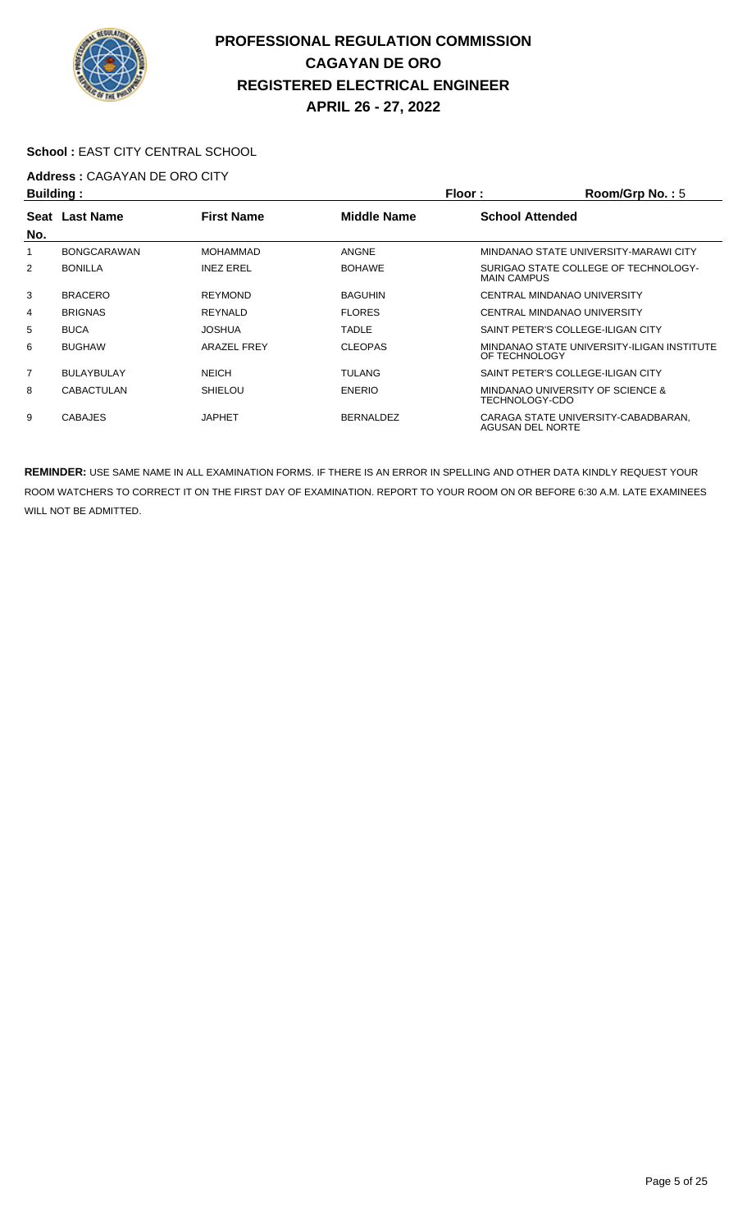

#### School : EAST CITY CENTRAL SCHOOL

# **Address :** CAGAYAN DE ORO CITY

| <b>Building:</b> |                    |                    | Floor:             | Room/Grp No.: 5        |                                            |
|------------------|--------------------|--------------------|--------------------|------------------------|--------------------------------------------|
| Seat             | <b>Last Name</b>   | <b>First Name</b>  | <b>Middle Name</b> | <b>School Attended</b> |                                            |
| No.              |                    |                    |                    |                        |                                            |
|                  | <b>BONGCARAWAN</b> | <b>MOHAMMAD</b>    | ANGNE              |                        | MINDANAO STATE UNIVERSITY-MARAWI CITY      |
| 2                | <b>BONILLA</b>     | <b>INEZ EREL</b>   | <b>BOHAWE</b>      | <b>MAIN CAMPUS</b>     | SURIGAO STATE COLLEGE OF TECHNOLOGY-       |
| 3                | <b>BRACERO</b>     | <b>REYMOND</b>     | <b>BAGUHIN</b>     |                        | CENTRAL MINDANAO UNIVERSITY                |
| 4                | <b>BRIGNAS</b>     | <b>REYNALD</b>     | <b>FLORES</b>      |                        | CENTRAL MINDANAO UNIVERSITY                |
| 5                | <b>BUCA</b>        | <b>JOSHUA</b>      | TADLE              |                        | SAINT PETER'S COLLEGE-ILIGAN CITY          |
| 6                | <b>BUGHAW</b>      | <b>ARAZEL FREY</b> | <b>CLEOPAS</b>     | OF TECHNOLOGY          | MINDANAO STATE UNIVERSITY-ILIGAN INSTITUTE |
| 7                | <b>BULAYBULAY</b>  | <b>NEICH</b>       | <b>TULANG</b>      |                        | SAINT PETER'S COLLEGE-ILIGAN CITY          |
| 8                | <b>CABACTULAN</b>  | <b>SHIELOU</b>     | <b>ENERIO</b>      | TECHNOLOGY-CDO         | MINDANAO UNIVERSITY OF SCIENCE &           |
| 9                | <b>CABAJES</b>     | <b>JAPHET</b>      | <b>BERNALDEZ</b>   | AGUSAN DEL NORTE       | CARAGA STATE UNIVERSITY-CABADBARAN.        |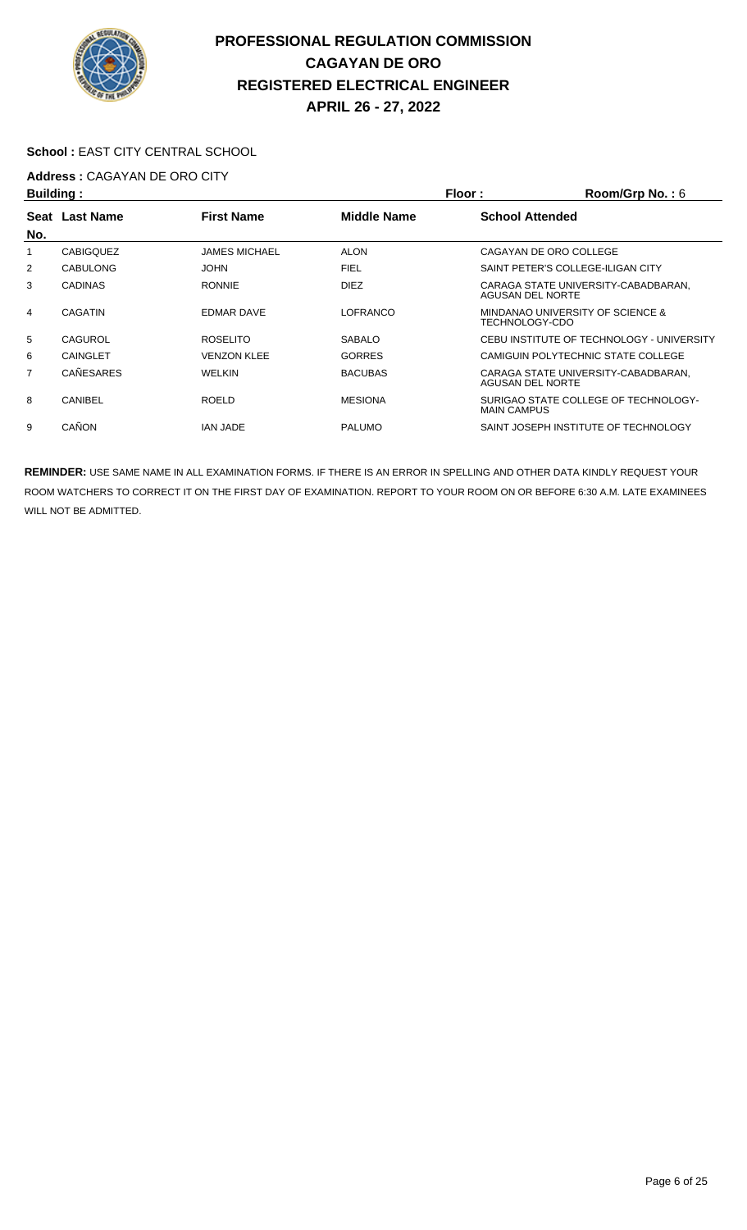

#### School : EAST CITY CENTRAL SCHOOL

# Address : CAGAYAN DE ORO CITY<br>**Ruilding** :

| <b>Building:</b> |                  |                      |                    | Room/Grp No.: 6<br>Floor:                                  |
|------------------|------------------|----------------------|--------------------|------------------------------------------------------------|
|                  | Seat Last Name   | <b>First Name</b>    | <b>Middle Name</b> | <b>School Attended</b>                                     |
| No.              |                  |                      |                    |                                                            |
| 1                | <b>CABIGQUEZ</b> | <b>JAMES MICHAEL</b> | <b>ALON</b>        | CAGAYAN DE ORO COLLEGE                                     |
| 2                | <b>CABULONG</b>  | <b>JOHN</b>          | <b>FIEL</b>        | SAINT PETER'S COLLEGE-ILIGAN CITY                          |
| 3                | <b>CADINAS</b>   | <b>RONNIE</b>        | <b>DIEZ</b>        | CARAGA STATE UNIVERSITY-CABADBARAN,<br>AGUSAN DEL NORTE    |
| 4                | <b>CAGATIN</b>   | EDMAR DAVE           | <b>LOFRANCO</b>    | MINDANAO UNIVERSITY OF SCIENCE &<br>TECHNOLOGY-CDO         |
| 5                | CAGUROL          | <b>ROSELITO</b>      | <b>SABALO</b>      | CEBU INSTITUTE OF TECHNOLOGY - UNIVERSITY                  |
| 6                | <b>CAINGLET</b>  | <b>VENZON KLEE</b>   | <b>GORRES</b>      | CAMIGUIN POLYTECHNIC STATE COLLEGE                         |
| $\overline{7}$   | <b>CAÑESARES</b> | <b>WELKIN</b>        | <b>BACUBAS</b>     | CARAGA STATE UNIVERSITY-CABADBARAN.<br>AGUSAN DEL NORTE    |
| 8                | CANIBEL          | <b>ROELD</b>         | <b>MESIONA</b>     | SURIGAO STATE COLLEGE OF TECHNOLOGY-<br><b>MAIN CAMPUS</b> |
| 9                | CAÑON            | IAN JADE             | <b>PALUMO</b>      | SAINT JOSEPH INSTITUTE OF TECHNOLOGY                       |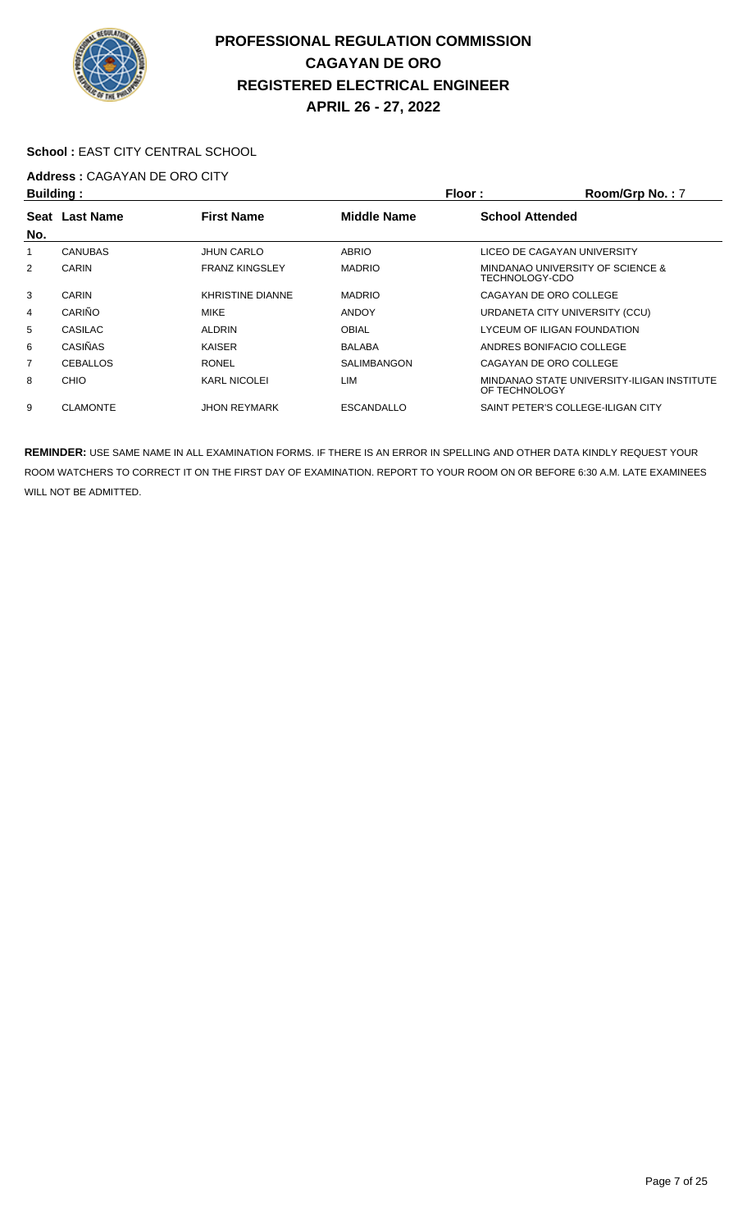

#### School : EAST CITY CENTRAL SCHOOL

# **Address :** CAGAYAN DE ORO CITY

| <b>Building:</b> |                  |                         | Floor:<br>Room/Grp No.: 7 |                        |                                            |
|------------------|------------------|-------------------------|---------------------------|------------------------|--------------------------------------------|
| Seat             | <b>Last Name</b> | <b>First Name</b>       | <b>Middle Name</b>        | <b>School Attended</b> |                                            |
| No.              |                  |                         |                           |                        |                                            |
|                  | <b>CANUBAS</b>   | <b>JHUN CARLO</b>       | <b>ABRIO</b>              |                        | LICEO DE CAGAYAN UNIVERSITY                |
| 2                | CARIN            | <b>FRANZ KINGSLEY</b>   | <b>MADRIO</b>             | TECHNOLOGY-CDO         | MINDANAO UNIVERSITY OF SCIENCE &           |
| 3                | CARIN            | <b>KHRISTINE DIANNE</b> | <b>MADRIO</b>             |                        | CAGAYAN DE ORO COLLEGE                     |
| 4                | CARIÑO           | <b>MIKE</b>             | <b>ANDOY</b>              |                        | URDANETA CITY UNIVERSITY (CCU)             |
| 5                | CASILAC          | <b>ALDRIN</b>           | <b>OBIAL</b>              |                        | LYCEUM OF ILIGAN FOUNDATION                |
| 6                | CASIÑAS          | <b>KAISER</b>           | <b>BALABA</b>             |                        | ANDRES BONIFACIO COLLEGE                   |
| 7                | <b>CEBALLOS</b>  | <b>RONEL</b>            | <b>SALIMBANGON</b>        |                        | CAGAYAN DE ORO COLLEGE                     |
| 8                | <b>CHIO</b>      | <b>KARL NICOLEI</b>     | LIM                       | OF TECHNOLOGY          | MINDANAO STATE UNIVERSITY-ILIGAN INSTITUTE |
| 9                | <b>CLAMONTE</b>  | JHON REYMARK            | <b>ESCANDALLO</b>         |                        | SAINT PETER'S COLLEGE-ILIGAN CITY          |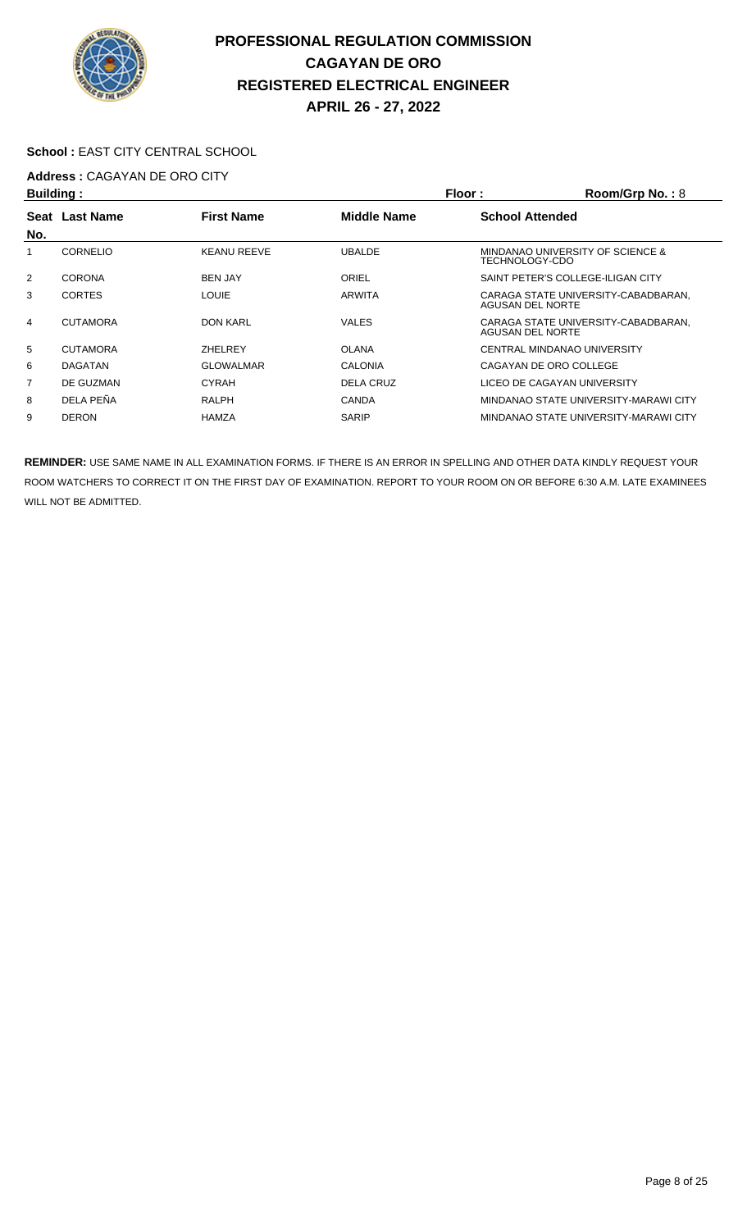

### School : EAST CITY CENTRAL SCHOOL

# **Address :** CAGAYAN DE ORO CITY

| <b>Building:</b> |                  |                    |                    | Floor:<br>Room/Grp No.: $8$ |                                       |  |
|------------------|------------------|--------------------|--------------------|-----------------------------|---------------------------------------|--|
| <b>Seat</b>      | <b>Last Name</b> | <b>First Name</b>  | <b>Middle Name</b> | <b>School Attended</b>      |                                       |  |
| No.              |                  |                    |                    |                             |                                       |  |
|                  | <b>CORNELIO</b>  | <b>KEANU REEVE</b> | <b>UBALDE</b>      | TECHNOLOGY-CDO              | MINDANAO UNIVERSITY OF SCIENCE &      |  |
| $\overline{2}$   | <b>CORONA</b>    | <b>BEN JAY</b>     | ORIEL              |                             | SAINT PETER'S COLLEGE-ILIGAN CITY     |  |
| 3                | <b>CORTES</b>    | <b>LOUIE</b>       | <b>ARWITA</b>      | AGUSAN DEL NORTE            | CARAGA STATE UNIVERSITY-CABADBARAN.   |  |
| 4                | <b>CUTAMORA</b>  | <b>DON KARL</b>    | <b>VALES</b>       | AGUSAN DEL NORTE            | CARAGA STATE UNIVERSITY-CABADBARAN.   |  |
| 5                | <b>CUTAMORA</b>  | <b>ZHELREY</b>     | <b>OLANA</b>       |                             | CENTRAL MINDANAO UNIVERSITY           |  |
| 6                | <b>DAGATAN</b>   | <b>GLOWALMAR</b>   | <b>CALONIA</b>     | CAGAYAN DE ORO COLLEGE      |                                       |  |
| 7                | DE GUZMAN        | <b>CYRAH</b>       | <b>DELA CRUZ</b>   |                             | LICEO DE CAGAYAN UNIVERSITY           |  |
| 8                | DELA PEÑA        | RALPH              | <b>CANDA</b>       |                             | MINDANAO STATE UNIVERSITY-MARAWI CITY |  |
| 9                | <b>DERON</b>     | <b>HAMZA</b>       | <b>SARIP</b>       |                             | MINDANAO STATE UNIVERSITY-MARAWI CITY |  |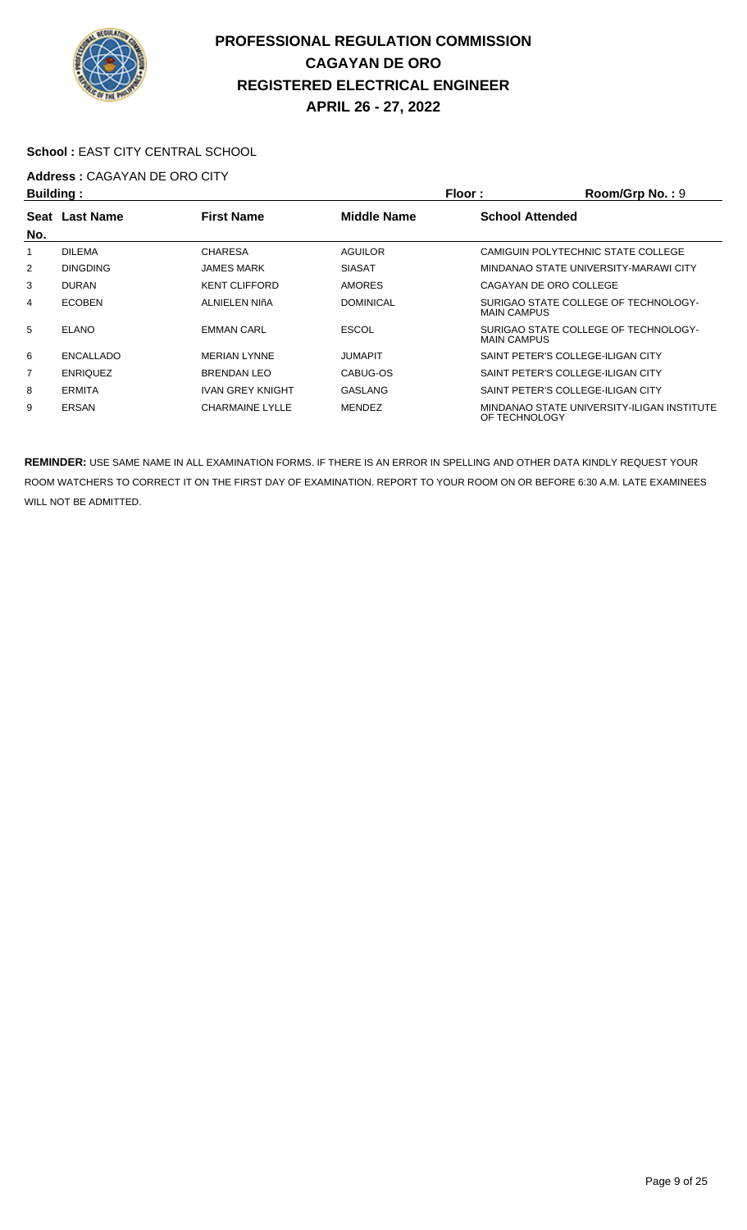

### School : EAST CITY CENTRAL SCHOOL

# **Address :** CAGAYAN DE ORO CITY

| Building:   |                  |                         | Floor:<br>Room/Grp No.: 9 |                        |                                            |
|-------------|------------------|-------------------------|---------------------------|------------------------|--------------------------------------------|
| <b>Seat</b> | <b>Last Name</b> | <b>First Name</b>       | <b>Middle Name</b>        | <b>School Attended</b> |                                            |
| No.         |                  |                         |                           |                        |                                            |
|             | <b>DILEMA</b>    | <b>CHARESA</b>          | <b>AGUILOR</b>            |                        | CAMIGUIN POLYTECHNIC STATE COLLEGE         |
| 2           | <b>DINGDING</b>  | JAMES MARK              | <b>SIASAT</b>             |                        | MINDANAO STATE UNIVERSITY-MARAWI CITY      |
| 3           | <b>DURAN</b>     | <b>KENT CLIFFORD</b>    | <b>AMORES</b>             |                        | CAGAYAN DE ORO COLLEGE                     |
| 4           | <b>ECOBEN</b>    | ALNIELEN NIñA           | <b>DOMINICAL</b>          | <b>MAIN CAMPUS</b>     | SURIGAO STATE COLLEGE OF TECHNOLOGY-       |
| 5           | <b>ELANO</b>     | <b>EMMAN CARL</b>       | <b>ESCOL</b>              | <b>MAIN CAMPUS</b>     | SURIGAO STATE COLLEGE OF TECHNOLOGY-       |
| 6           | ENCALLADO        | <b>MERIAN LYNNE</b>     | <b>JUMAPIT</b>            |                        | SAINT PETER'S COLLEGE-ILIGAN CITY          |
| 7           | <b>ENRIQUEZ</b>  | <b>BRENDAN LEO</b>      | CABUG-OS                  |                        | SAINT PETER'S COLLEGE-ILIGAN CITY          |
| 8           | <b>ERMITA</b>    | <b>IVAN GREY KNIGHT</b> | GASLANG                   |                        | SAINT PETER'S COLLEGE-ILIGAN CITY          |
| 9           | <b>ERSAN</b>     | <b>CHARMAINE LYLLE</b>  | <b>MENDEZ</b>             | OF TECHNOLOGY          | MINDANAO STATE UNIVERSITY-ILIGAN INSTITUTE |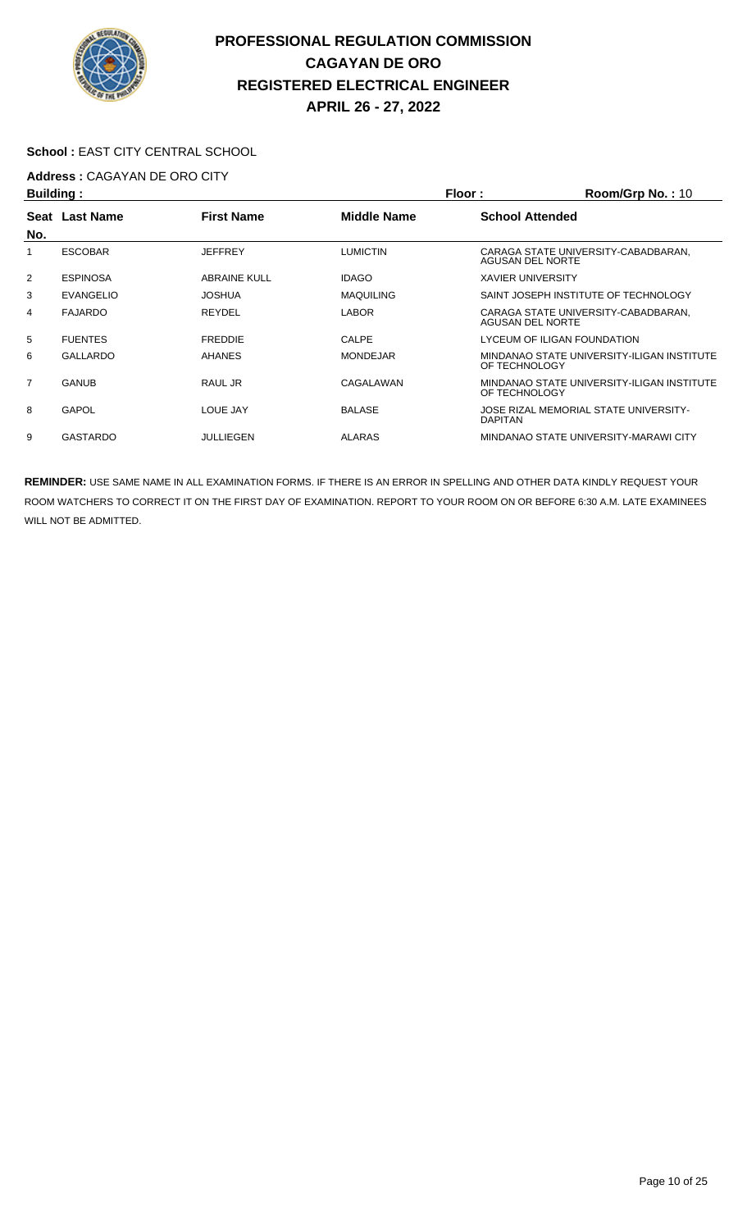

### School : EAST CITY CENTRAL SCHOOL

# **Address :** CAGAYAN DE ORO CITY

| Building:      |                 |                     | Floor:             | Room/Grp No.: 10                                            |
|----------------|-----------------|---------------------|--------------------|-------------------------------------------------------------|
| No.            | Seat Last Name  | <b>First Name</b>   | <b>Middle Name</b> | <b>School Attended</b>                                      |
|                | <b>ESCOBAR</b>  | <b>JEFFREY</b>      | <b>LUMICTIN</b>    | CARAGA STATE UNIVERSITY-CABADBARAN.<br>AGUSAN DEL NORTE     |
| 2              | <b>ESPINOSA</b> | <b>ABRAINE KULL</b> | <b>IDAGO</b>       | <b>XAVIER UNIVERSITY</b>                                    |
| 3              | EVANGELIO       | JOSHUA              | <b>MAQUILING</b>   | SAINT JOSEPH INSTITUTE OF TECHNOLOGY                        |
| 4              | <b>FAJARDO</b>  | <b>REYDEL</b>       | <b>LABOR</b>       | CARAGA STATE UNIVERSITY-CABADBARAN.<br>AGUSAN DEL NORTE     |
| 5              | <b>FUENTES</b>  | <b>FREDDIE</b>      | <b>CALPE</b>       | LYCEUM OF ILIGAN FOUNDATION                                 |
| 6              | GALLARDO        | <b>AHANES</b>       | <b>MONDEJAR</b>    | MINDANAO STATE UNIVERSITY-ILIGAN INSTITUTE<br>OF TECHNOLOGY |
| $\overline{7}$ | <b>GANUB</b>    | RAUL JR             | CAGALAWAN          | MINDANAO STATE UNIVERSITY-ILIGAN INSTITUTE<br>OF TECHNOLOGY |
| 8              | GAPOL           | LOUE JAY            | <b>BALASE</b>      | JOSE RIZAL MEMORIAL STATE UNIVERSITY-<br><b>DAPITAN</b>     |
| 9              | <b>GASTARDO</b> | JULLIEGEN           | <b>ALARAS</b>      | MINDANAO STATE UNIVERSITY-MARAWI CITY                       |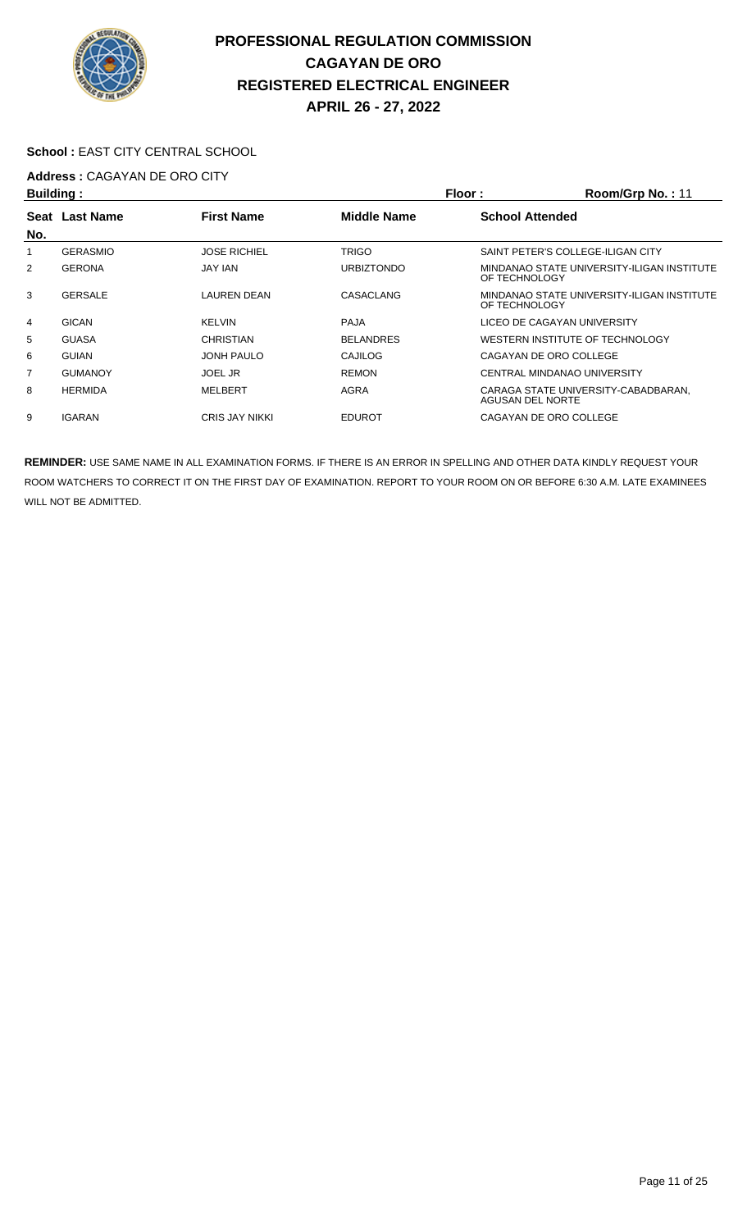

#### School : EAST CITY CENTRAL SCHOOL

# **Address :** CAGAYAN DE ORO CITY

| Building: |                  |                     | Floor:             | Room/Grp No.: 11       |                                            |
|-----------|------------------|---------------------|--------------------|------------------------|--------------------------------------------|
| Seat      | <b>Last Name</b> | <b>First Name</b>   | <b>Middle Name</b> | <b>School Attended</b> |                                            |
| No.       |                  |                     |                    |                        |                                            |
|           | <b>GERASMIO</b>  | <b>JOSE RICHIEL</b> | TRIGO              |                        | SAINT PETER'S COLLEGE-ILIGAN CITY          |
| 2         | <b>GERONA</b>    | JAY IAN             | <b>URBIZTONDO</b>  | OF TECHNOLOGY          | MINDANAO STATE UNIVERSITY-ILIGAN INSTITUTE |
| 3         | <b>GERSALE</b>   | LAUREN DEAN         | CASACLANG          | OF TECHNOLOGY          | MINDANAO STATE UNIVERSITY-ILIGAN INSTITUTE |
| 4         | <b>GICAN</b>     | <b>KELVIN</b>       | <b>PAJA</b>        |                        | LICEO DE CAGAYAN UNIVERSITY                |
| 5         | <b>GUASA</b>     | CHRISTIAN           | <b>BELANDRES</b>   |                        | WESTERN INSTITUTE OF TECHNOLOGY            |
| 6         | <b>GUIAN</b>     | JONH PAULO          | CAJILOG            | CAGAYAN DE ORO COLLEGE |                                            |
| 7         | <b>GUMANOY</b>   | <b>JOEL JR</b>      | <b>REMON</b>       |                        | CENTRAL MINDANAO UNIVERSITY                |
| 8         | <b>HERMIDA</b>   | MELBERT             | AGRA               | AGUSAN DEL NORTE       | CARAGA STATE UNIVERSITY-CABADBARAN.        |
| 9         | <b>IGARAN</b>    | CRIS JAY NIKKI      | <b>EDUROT</b>      | CAGAYAN DE ORO COLLEGE |                                            |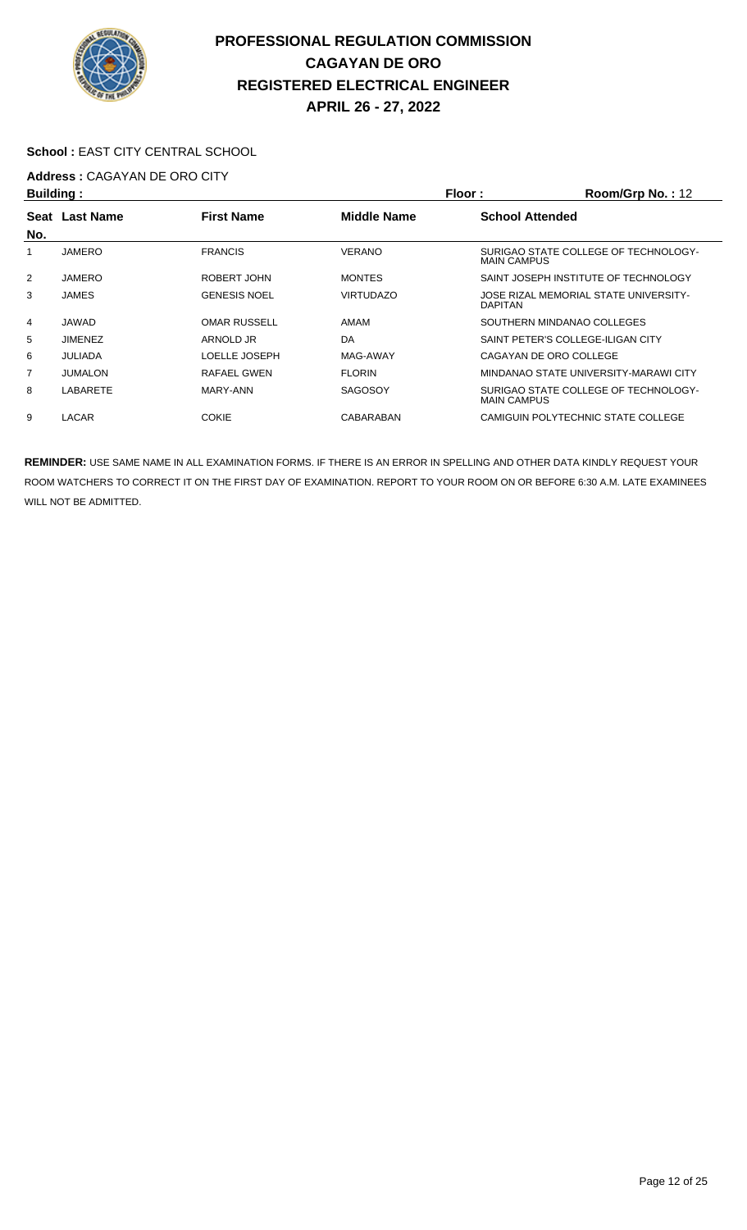

### School : EAST CITY CENTRAL SCHOOL

# **Address :** CAGAYAN DE ORO CITY

| <b>Building:</b> |                  |                     | Floor:             | Room/Grp No.: 12       |                                       |
|------------------|------------------|---------------------|--------------------|------------------------|---------------------------------------|
| Seat             | <b>Last Name</b> | <b>First Name</b>   | <b>Middle Name</b> | <b>School Attended</b> |                                       |
| No.              |                  |                     |                    |                        |                                       |
|                  | <b>JAMERO</b>    | <b>FRANCIS</b>      | <b>VERANO</b>      | <b>MAIN CAMPUS</b>     | SURIGAO STATE COLLEGE OF TECHNOLOGY-  |
| $\overline{2}$   | JAMERO           | ROBERT JOHN         | <b>MONTES</b>      |                        | SAINT JOSEPH INSTITUTE OF TECHNOLOGY  |
| 3                | JAMES            | <b>GENESIS NOEL</b> | <b>VIRTUDAZO</b>   | <b>DAPITAN</b>         | JOSE RIZAL MEMORIAL STATE UNIVERSITY- |
| 4                | JAWAD            | <b>OMAR RUSSELL</b> | AMAM               |                        | SOUTHERN MINDANAO COLLEGES            |
| 5                | <b>JIMENEZ</b>   | ARNOLD JR           | DA                 |                        | SAINT PETER'S COLLEGE-ILIGAN CITY     |
| 6                | <b>JULIADA</b>   | LOELLE JOSEPH       | MAG-AWAY           | CAGAYAN DE ORO COLLEGE |                                       |
| 7                | <b>JUMALON</b>   | RAFAEL GWEN         | <b>FLORIN</b>      |                        | MINDANAO STATE UNIVERSITY-MARAWI CITY |
| 8                | LABARETE         | MARY-ANN            | <b>SAGOSOY</b>     | <b>MAIN CAMPUS</b>     | SURIGAO STATE COLLEGE OF TECHNOLOGY-  |
| 9                | LACAR            | <b>COKIE</b>        | CABARABAN          |                        | CAMIGUIN POLYTECHNIC STATE COLLEGE    |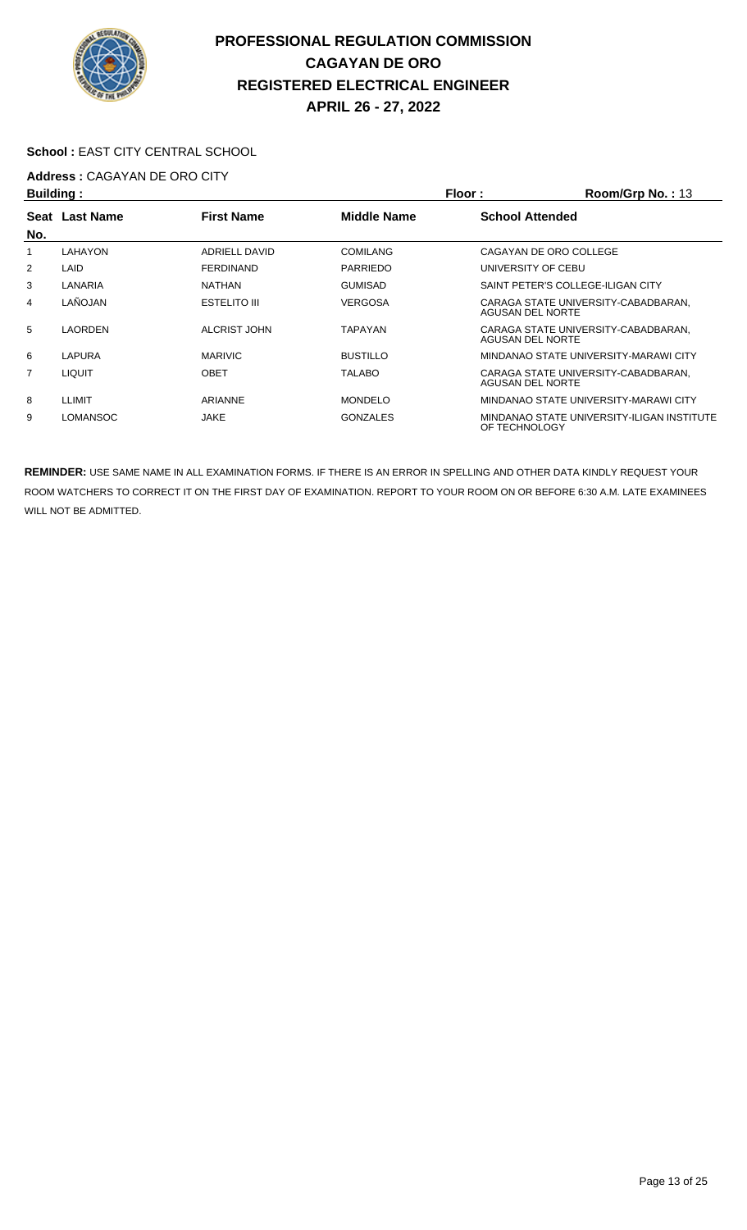

#### School : EAST CITY CENTRAL SCHOOL

# **Address :** CAGAYAN DE ORO CITY

| <b>Building:</b> |                  |                     |                    | Floor:                 | Room/Grp No.: 13                           |
|------------------|------------------|---------------------|--------------------|------------------------|--------------------------------------------|
| Seat             | <b>Last Name</b> | <b>First Name</b>   | <b>Middle Name</b> | <b>School Attended</b> |                                            |
| No.              |                  |                     |                    |                        |                                            |
|                  | LAHAYON          | ADRIELL DAVID       | <b>COMILANG</b>    |                        | CAGAYAN DE ORO COLLEGE                     |
| $\overline{2}$   | LAID             | <b>FERDINAND</b>    | <b>PARRIEDO</b>    | UNIVERSITY OF CEBU     |                                            |
| 3                | LANARIA          | <b>NATHAN</b>       | <b>GUMISAD</b>     |                        | SAINT PETER'S COLLEGE-ILIGAN CITY          |
| 4                | LAÑOJAN          | <b>ESTELITO III</b> | <b>VERGOSA</b>     | AGUSAN DEL NORTE       | CARAGA STATE UNIVERSITY-CABADBARAN.        |
| 5                | LAORDEN          | ALCRIST JOHN        | <b>TAPAYAN</b>     | AGUSAN DEL NORTE       | CARAGA STATE UNIVERSITY-CABADBARAN.        |
| 6                | LAPURA           | <b>MARIVIC</b>      | <b>BUSTILLO</b>    |                        | MINDANAO STATE UNIVERSITY-MARAWI CITY      |
| 7                | <b>LIQUIT</b>    | <b>OBET</b>         | <b>TALABO</b>      | AGUSAN DEL NORTE       | CARAGA STATE UNIVERSITY-CABADBARAN,        |
| 8                | LLIMIT           | ARIANNE             | <b>MONDELO</b>     |                        | MINDANAO STATE UNIVERSITY-MARAWI CITY      |
| 9                | <b>LOMANSOC</b>  | <b>JAKE</b>         | <b>GONZALES</b>    | OF TECHNOLOGY          | MINDANAO STATE UNIVERSITY-ILIGAN INSTITUTE |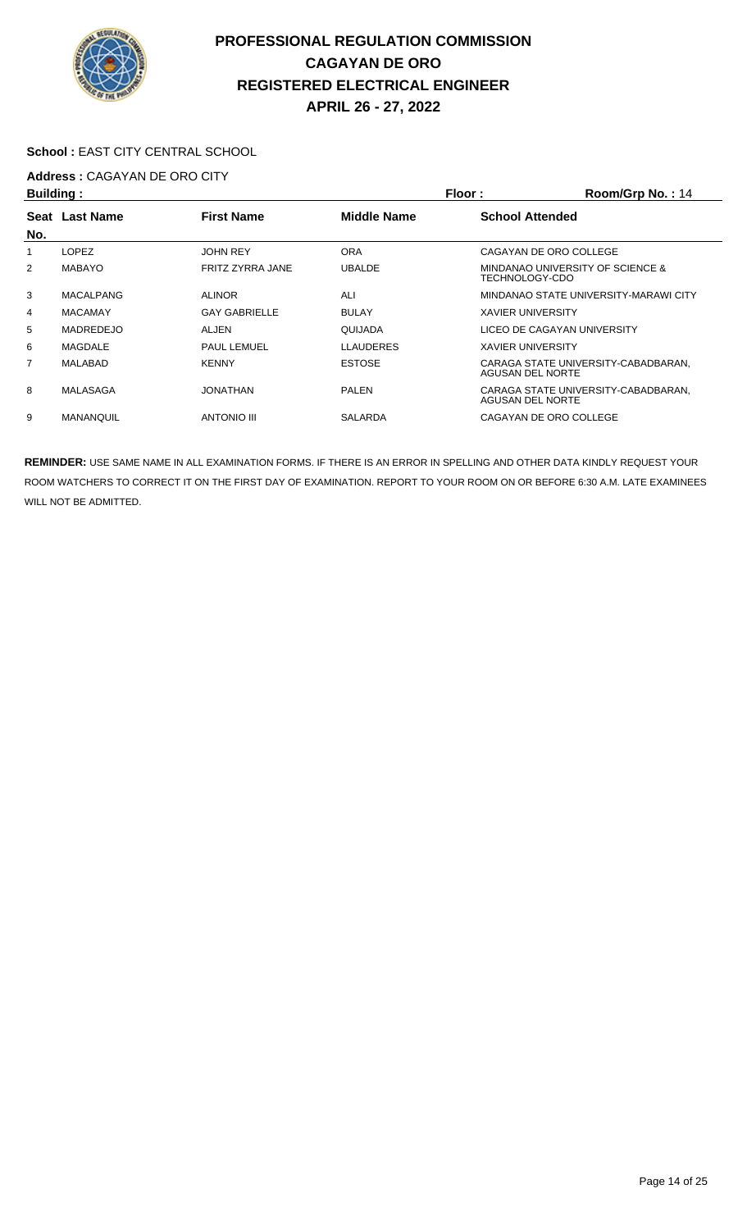

### School : EAST CITY CENTRAL SCHOOL

# **Address :** CAGAYAN DE ORO CITY

| <b>Building:</b> |                  |                      |                    | Floor:                   | Room/Grp No.: 14                      |
|------------------|------------------|----------------------|--------------------|--------------------------|---------------------------------------|
| Seat             | <b>Last Name</b> | <b>First Name</b>    | <b>Middle Name</b> | <b>School Attended</b>   |                                       |
| No.              |                  |                      |                    |                          |                                       |
|                  | <b>LOPEZ</b>     | <b>JOHN REY</b>      | <b>ORA</b>         |                          | CAGAYAN DE ORO COLLEGE                |
| 2                | <b>MABAYO</b>    | FRITZ ZYRRA JANE     | <b>UBALDE</b>      | TECHNOLOGY-CDO           | MINDANAO UNIVERSITY OF SCIENCE &      |
| 3                | <b>MACALPANG</b> | <b>ALINOR</b>        | ALI                |                          | MINDANAO STATE UNIVERSITY-MARAWI CITY |
| 4                | <b>MACAMAY</b>   | <b>GAY GABRIELLE</b> | <b>BULAY</b>       | <b>XAVIER UNIVERSITY</b> |                                       |
| 5                | MADREDEJO        | ALJEN                | QUIJADA            |                          | LICEO DE CAGAYAN UNIVERSITY           |
| 6                | MAGDALE          | <b>PAUL LEMUEL</b>   | <b>LLAUDERES</b>   | <b>XAVIER UNIVERSITY</b> |                                       |
| 7                | MALABAD          | <b>KENNY</b>         | <b>ESTOSE</b>      | AGUSAN DEL NORTE         | CARAGA STATE UNIVERSITY-CABADBARAN.   |
| 8                | MALASAGA         | <b>JONATHAN</b>      | <b>PALEN</b>       | AGUSAN DEL NORTE         | CARAGA STATE UNIVERSITY-CABADBARAN,   |
| 9                | <b>MANANQUIL</b> | <b>ANTONIO III</b>   | <b>SALARDA</b>     |                          | CAGAYAN DE ORO COLLEGE                |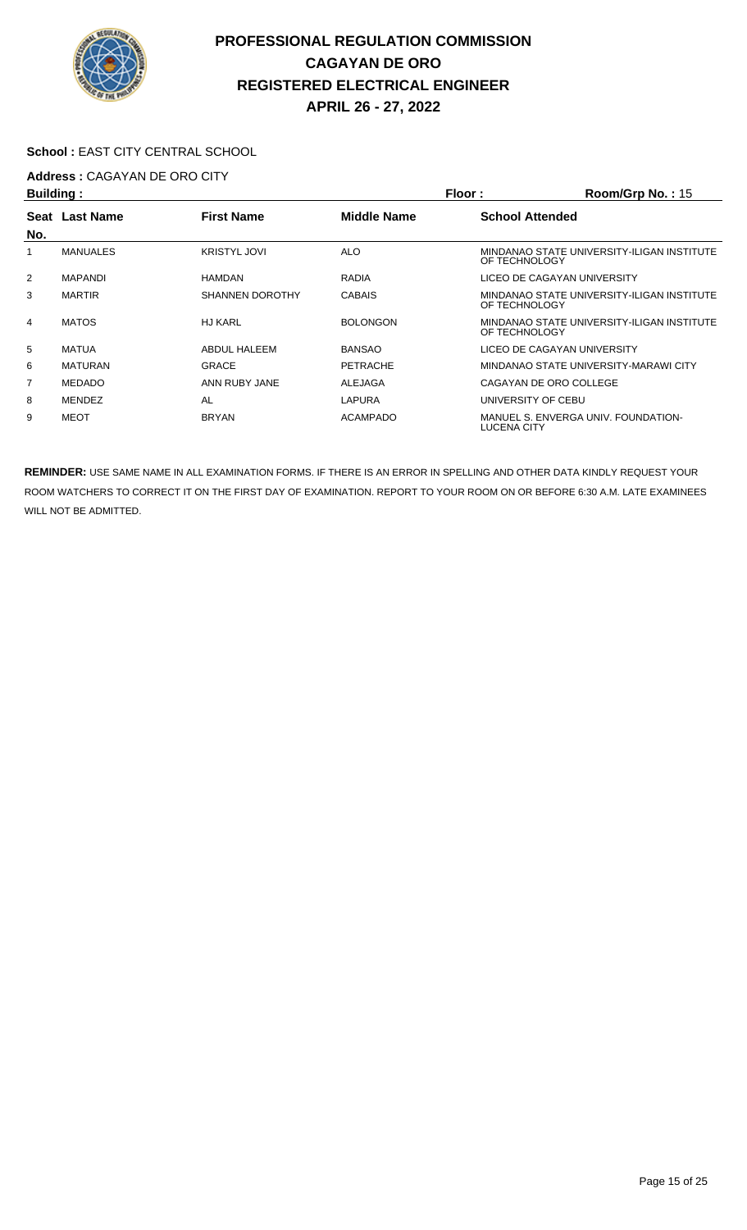

### School : EAST CITY CENTRAL SCHOOL

# **Address : CAGAYAN DE ORO CITY**

| <b>Building:</b> |                 |                        |                    | Floor:                 | Room/Grp No.: 15                           |
|------------------|-----------------|------------------------|--------------------|------------------------|--------------------------------------------|
|                  | Seat Last Name  | <b>First Name</b>      | <b>Middle Name</b> | <b>School Attended</b> |                                            |
| No.              |                 |                        |                    |                        |                                            |
|                  | <b>MANUALES</b> | <b>KRISTYL JOVI</b>    | <b>ALO</b>         | OF TECHNOLOGY          | MINDANAO STATE UNIVERSITY-ILIGAN INSTITUTE |
| 2                | <b>MAPANDI</b>  | <b>HAMDAN</b>          | <b>RADIA</b>       |                        | LICEO DE CAGAYAN UNIVERSITY                |
| 3                | <b>MARTIR</b>   | <b>SHANNEN DOROTHY</b> | <b>CABAIS</b>      | OF TECHNOLOGY          | MINDANAO STATE UNIVERSITY-ILIGAN INSTITUTE |
| $\overline{4}$   | <b>MATOS</b>    | <b>HJ KARL</b>         | <b>BOLONGON</b>    | OF TECHNOLOGY          | MINDANAO STATE UNIVERSITY-ILIGAN INSTITUTE |
| 5                | MATUA           | <b>ABDUL HALEEM</b>    | <b>BANSAO</b>      |                        | LICEO DE CAGAYAN UNIVERSITY                |
| 6                | <b>MATURAN</b>  | <b>GRACE</b>           | PETRACHE           |                        | MINDANAO STATE UNIVERSITY-MARAWI CITY      |
| 7                | MEDADO          | ANN RUBY JANE          | ALEJAGA            |                        | CAGAYAN DE ORO COLLEGE                     |
| 8                | MENDEZ          | AL                     | LAPURA             | UNIVERSITY OF CEBU     |                                            |
| 9                | <b>MEOT</b>     | <b>BRYAN</b>           | <b>ACAMPADO</b>    | <b>LUCENA CITY</b>     | MANUEL S. ENVERGA UNIV. FOUNDATION-        |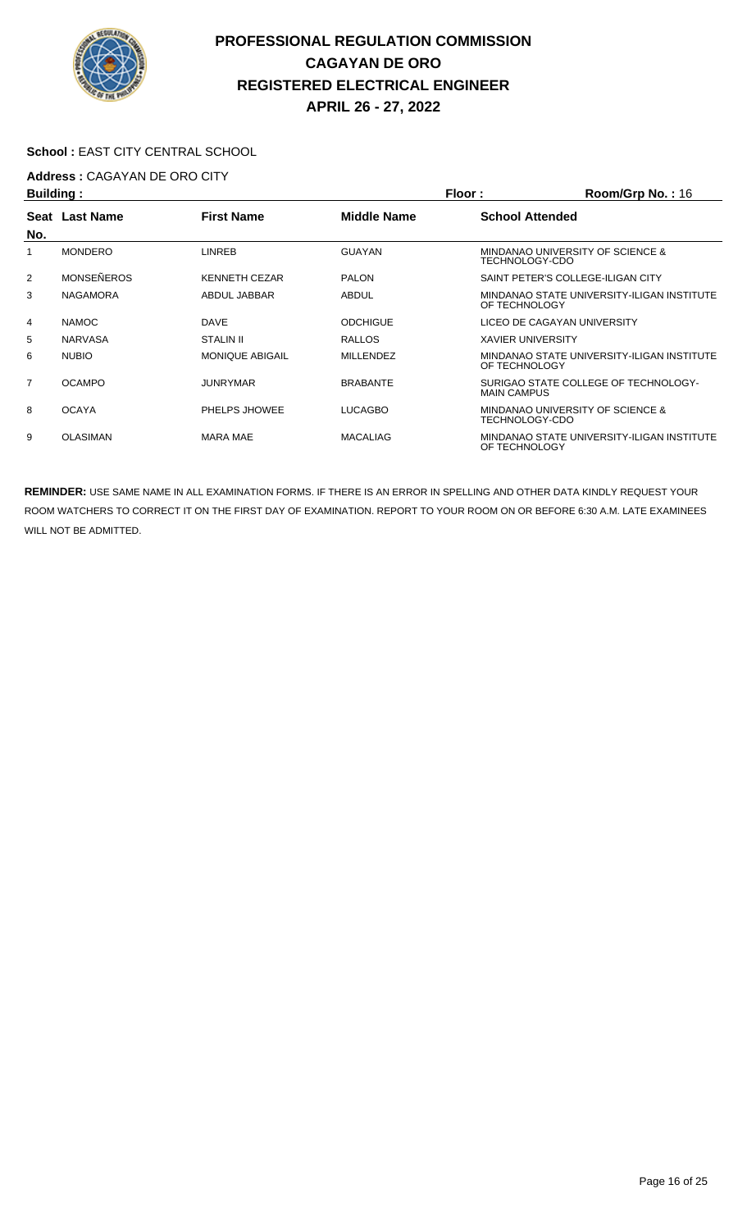

### School : EAST CITY CENTRAL SCHOOL

# **Address :** CAGAYAN DE ORO CITY

| <b>Building:</b> |                   |                        |                    | Floor:                   | Room/Grp No.: 16                           |
|------------------|-------------------|------------------------|--------------------|--------------------------|--------------------------------------------|
| Seat<br>No.      | <b>Last Name</b>  | <b>First Name</b>      | <b>Middle Name</b> | <b>School Attended</b>   |                                            |
|                  | <b>MONDERO</b>    | <b>LINREB</b>          | <b>GUAYAN</b>      | TECHNOLOGY-CDO           | MINDANAO UNIVERSITY OF SCIENCE &           |
| $\overline{2}$   | <b>MONSEÑEROS</b> | <b>KENNETH CEZAR</b>   | <b>PALON</b>       |                          | SAINT PETER'S COLLEGE-ILIGAN CITY          |
| 3                | <b>NAGAMORA</b>   | ABDUL JABBAR           | <b>ABDUL</b>       | OF TECHNOLOGY            | MINDANAO STATE UNIVERSITY-ILIGAN INSTITUTE |
| 4                | <b>NAMOC</b>      | <b>DAVE</b>            | <b>ODCHIGUE</b>    |                          | LICEO DE CAGAYAN UNIVERSITY                |
| 5                | <b>NARVASA</b>    | <b>STALIN II</b>       | <b>RALLOS</b>      | <b>XAVIER UNIVERSITY</b> |                                            |
| 6                | <b>NUBIO</b>      | <b>MONIQUE ABIGAIL</b> | <b>MILLENDEZ</b>   | OF TECHNOLOGY            | MINDANAO STATE UNIVERSITY-ILIGAN INSTITUTE |
| $\overline{7}$   | <b>OCAMPO</b>     | <b>JUNRYMAR</b>        | <b>BRABANTE</b>    | <b>MAIN CAMPUS</b>       | SURIGAO STATE COLLEGE OF TECHNOLOGY-       |
| 8                | <b>OCAYA</b>      | PHELPS JHOWEE          | LUCAGBO            | TECHNOLOGY-CDO           | MINDANAO UNIVERSITY OF SCIENCE &           |
| 9                | <b>OLASIMAN</b>   | <b>MARA MAE</b>        | <b>MACALIAG</b>    | OF TECHNOLOGY            | MINDANAO STATE UNIVERSITY-ILIGAN INSTITUTE |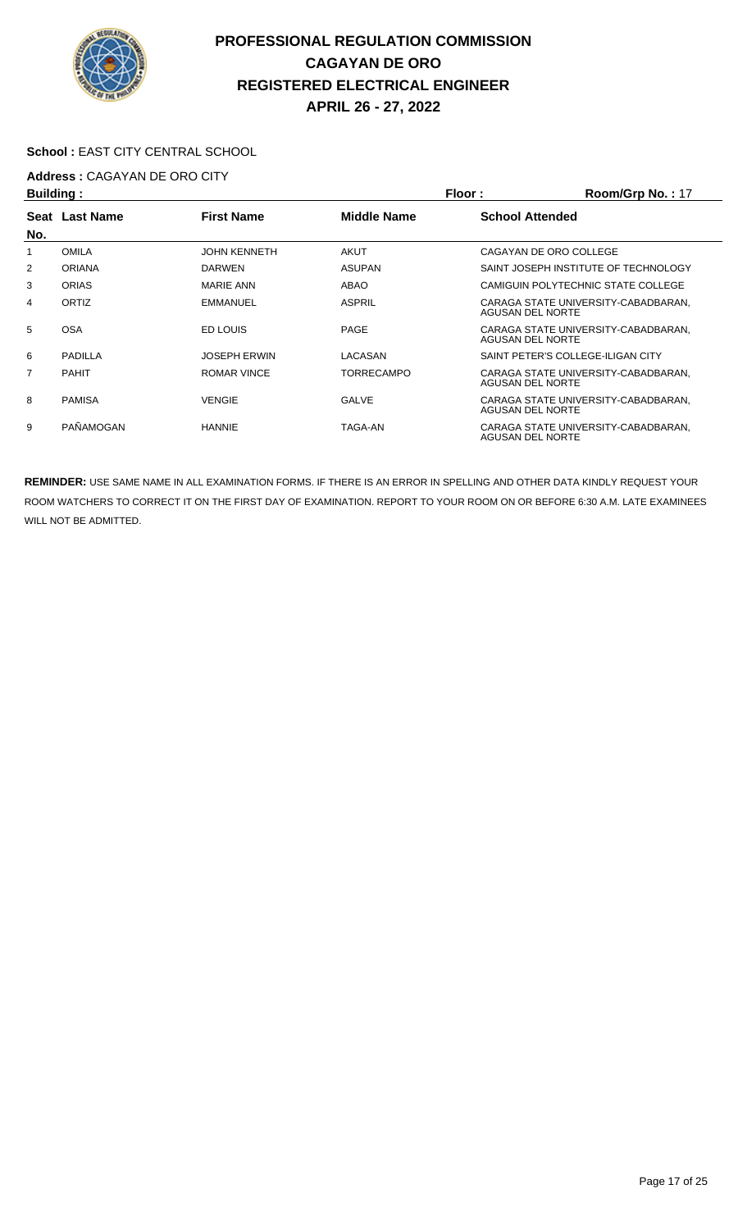

#### School : EAST CITY CENTRAL SCHOOL

# **Address :** CAGAYAN DE ORO CITY

| <b>Building:</b> |                |                     |                    | Floor:                  | Room/Grp No.: 17                     |
|------------------|----------------|---------------------|--------------------|-------------------------|--------------------------------------|
|                  | Seat Last Name | <b>First Name</b>   | <b>Middle Name</b> | <b>School Attended</b>  |                                      |
| No.              |                |                     |                    |                         |                                      |
|                  | <b>OMILA</b>   | <b>JOHN KENNETH</b> | <b>AKUT</b>        |                         | CAGAYAN DE ORO COLLEGE               |
| 2                | <b>ORIANA</b>  | <b>DARWEN</b>       | <b>ASUPAN</b>      |                         | SAINT JOSEPH INSTITUTE OF TECHNOLOGY |
| 3                | <b>ORIAS</b>   | <b>MARIE ANN</b>    | ABAO               |                         | CAMIGUIN POLYTECHNIC STATE COLLEGE   |
| 4                | ORTIZ          | <b>EMMANUEL</b>     | <b>ASPRIL</b>      | AGUSAN DEL NORTE        | CARAGA STATE UNIVERSITY-CABADBARAN.  |
| 5                | <b>OSA</b>     | ED LOUIS            | <b>PAGE</b>        | <b>AGUSAN DEL NORTE</b> | CARAGA STATE UNIVERSITY-CABADBARAN.  |
| 6                | PADILLA        | <b>JOSEPH ERWIN</b> | LACASAN            |                         | SAINT PETER'S COLLEGE-ILIGAN CITY    |
| 7                | <b>PAHIT</b>   | <b>ROMAR VINCE</b>  | <b>TORRECAMPO</b>  | <b>AGUSAN DEL NORTE</b> | CARAGA STATE UNIVERSITY-CABADBARAN.  |
| 8                | <b>PAMISA</b>  | <b>VENGIE</b>       | <b>GALVE</b>       | AGUSAN DEL NORTE        | CARAGA STATE UNIVERSITY-CABADBARAN,  |
| 9                | PAÑAMOGAN      | <b>HANNIE</b>       | TAGA-AN            | <b>AGUSAN DEL NORTE</b> | CARAGA STATE UNIVERSITY-CABADBARAN.  |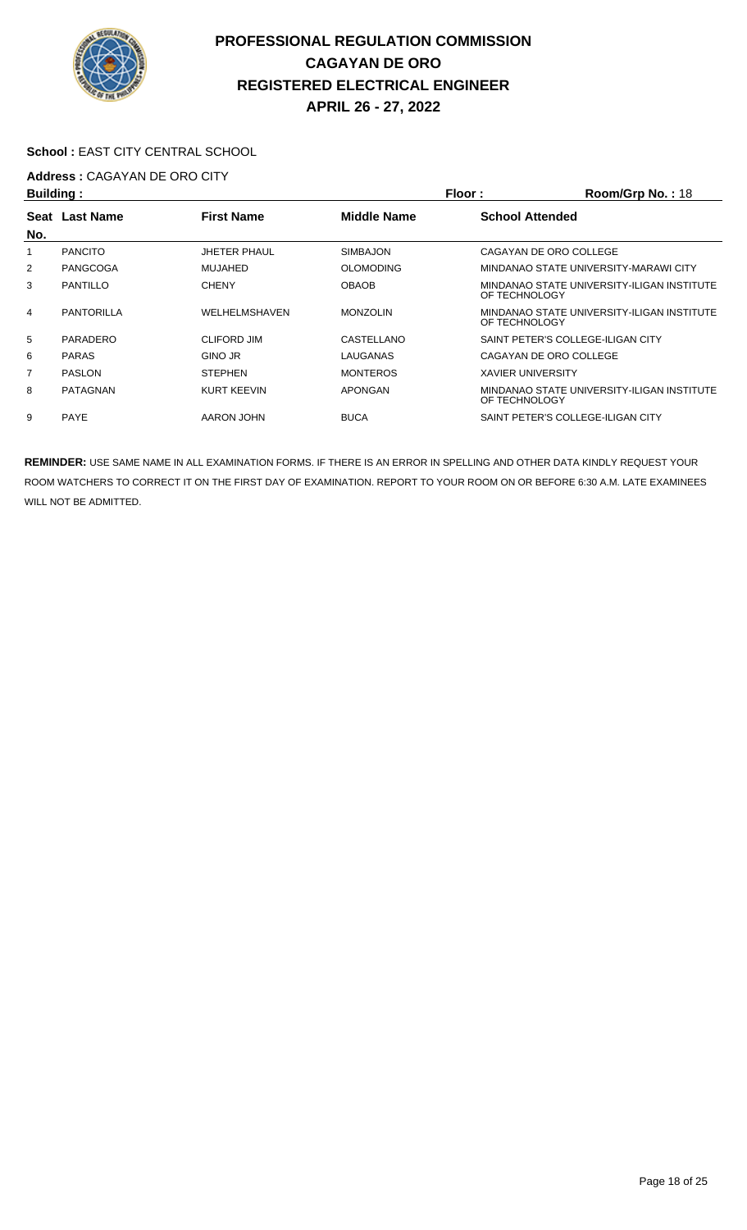

#### School : EAST CITY CENTRAL SCHOOL

# **Address :** CAGAYAN DE ORO CITY

| <b>Building:</b> |                   |                    |                    | Floor:                   | Room/Grp No.: 18                           |
|------------------|-------------------|--------------------|--------------------|--------------------------|--------------------------------------------|
| Seat             | <b>Last Name</b>  | <b>First Name</b>  | <b>Middle Name</b> | <b>School Attended</b>   |                                            |
| No.              |                   |                    |                    |                          |                                            |
|                  | <b>PANCITO</b>    | JHETER PHAUL       | <b>SIMBAJON</b>    |                          | CAGAYAN DE ORO COLLEGE                     |
| 2                | PANGCOGA          | <b>MUJAHED</b>     | <b>OLOMODING</b>   |                          | MINDANAO STATE UNIVERSITY-MARAWI CITY      |
| 3                | <b>PANTILLO</b>   | <b>CHENY</b>       | <b>OBAOB</b>       | OF TECHNOLOGY            | MINDANAO STATE UNIVERSITY-ILIGAN INSTITUTE |
| 4                | <b>PANTORILLA</b> | WELHELMSHAVEN      | <b>MONZOLIN</b>    | OF TECHNOLOGY            | MINDANAO STATE UNIVERSITY-ILIGAN INSTITUTE |
| 5                | PARADERO          | <b>CLIFORD JIM</b> | CASTELLANO         |                          | SAINT PETER'S COLLEGE-ILIGAN CITY          |
| 6                | <b>PARAS</b>      | GINO JR            | LAUGANAS           |                          | CAGAYAN DE ORO COLLEGE                     |
| 7                | PASLON            | <b>STEPHEN</b>     | <b>MONTEROS</b>    | <b>XAVIER UNIVERSITY</b> |                                            |
| 8                | <b>PATAGNAN</b>   | <b>KURT KEEVIN</b> | <b>APONGAN</b>     | OF TECHNOLOGY            | MINDANAO STATE UNIVERSITY-ILIGAN INSTITUTE |
| 9                | <b>PAYE</b>       | AARON JOHN         | <b>BUCA</b>        |                          | SAINT PETER'S COLLEGE-ILIGAN CITY          |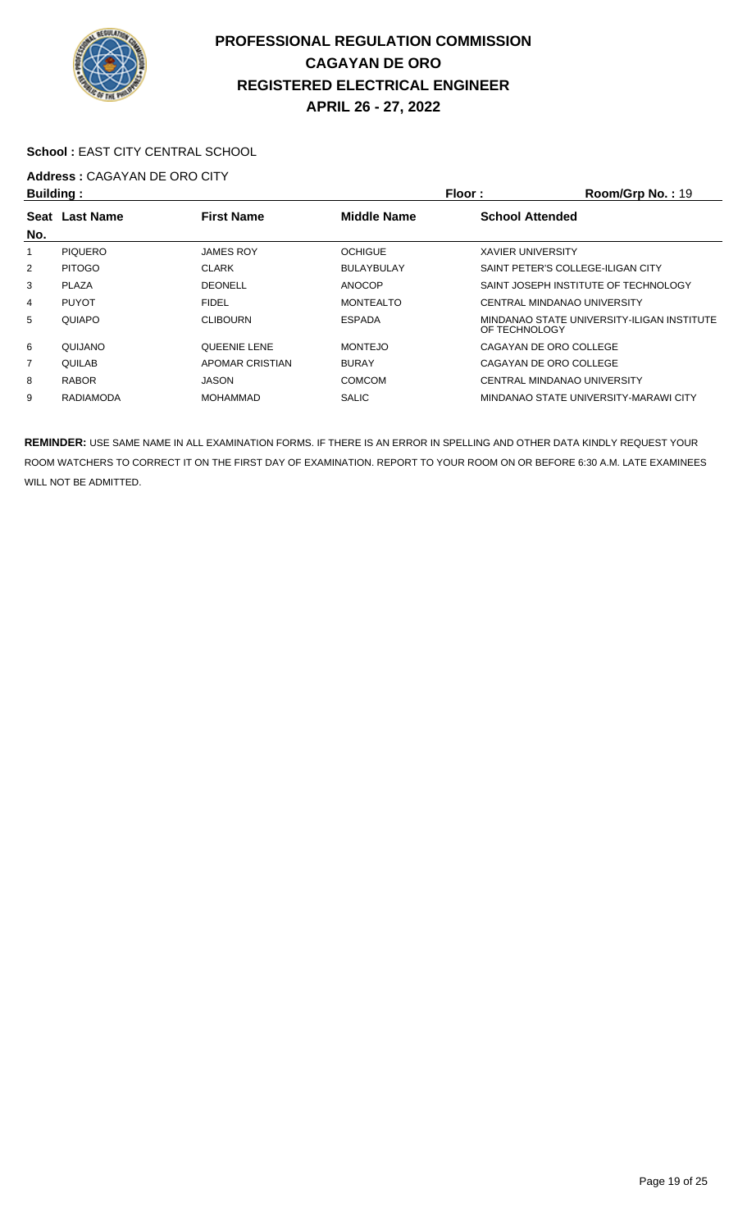

### School : EAST CITY CENTRAL SCHOOL

# **Address :** CAGAYAN DE ORO CITY

| <b>Building:</b> |                  |                        |                    | Floor:                   | Room/Grp No.: 19                           |
|------------------|------------------|------------------------|--------------------|--------------------------|--------------------------------------------|
|                  | Seat Last Name   | <b>First Name</b>      | <b>Middle Name</b> | <b>School Attended</b>   |                                            |
| No.              |                  |                        |                    |                          |                                            |
|                  | <b>PIQUERO</b>   | <b>JAMES ROY</b>       | <b>OCHIGUE</b>     | <b>XAVIER UNIVERSITY</b> |                                            |
| 2                | <b>PITOGO</b>    | <b>CLARK</b>           | <b>BULAYBULAY</b>  |                          | SAINT PETER'S COLLEGE-ILIGAN CITY          |
| 3                | <b>PLAZA</b>     | <b>DEONELL</b>         | <b>ANOCOP</b>      |                          | SAINT JOSEPH INSTITUTE OF TECHNOLOGY       |
| 4                | <b>PUYOT</b>     | <b>FIDEL</b>           | <b>MONTEALTO</b>   |                          | CENTRAL MINDANAO UNIVERSITY                |
| 5                | QUIAPO           | <b>CLIBOURN</b>        | <b>ESPADA</b>      | OF TECHNOLOGY            | MINDANAO STATE UNIVERSITY-ILIGAN INSTITUTE |
| 6                | QUIJANO          | <b>QUEENIE LENE</b>    | <b>MONTEJO</b>     |                          | CAGAYAN DE ORO COLLEGE                     |
| $\overline{7}$   | QUILAB           | <b>APOMAR CRISTIAN</b> | <b>BURAY</b>       |                          | CAGAYAN DE ORO COLLEGE                     |
| 8                | <b>RABOR</b>     | <b>JASON</b>           | COMCOM             |                          | CENTRAL MINDANAO UNIVERSITY                |
| 9                | <b>RADIAMODA</b> | MOHAMMAD               | <b>SALIC</b>       |                          | MINDANAO STATE UNIVERSITY-MARAWI CITY      |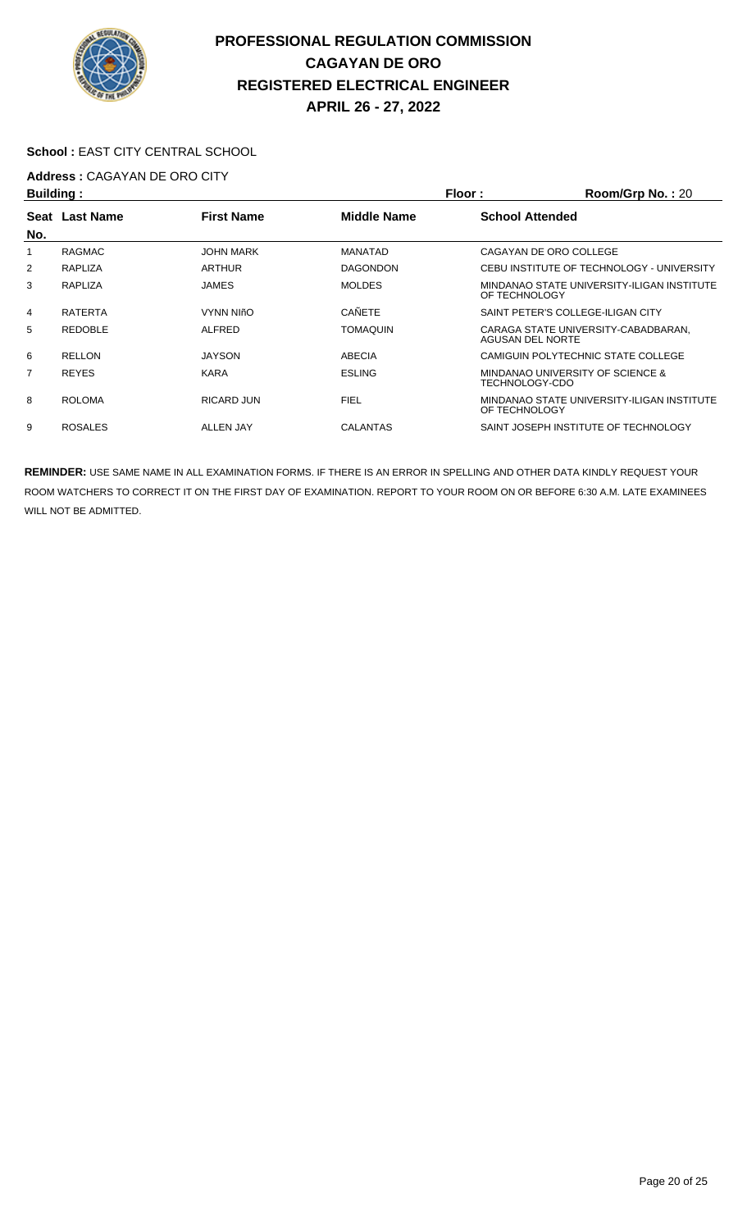

#### School : EAST CITY CENTRAL SCHOOL

# **Address :** CAGAYAN DE ORO CITY

| <b>Building:</b> |                |                   | Floor:             | Room/Grp No.: 20                                            |
|------------------|----------------|-------------------|--------------------|-------------------------------------------------------------|
|                  | Seat Last Name | <b>First Name</b> | <b>Middle Name</b> | <b>School Attended</b>                                      |
| No.              |                |                   |                    |                                                             |
| 1                | <b>RAGMAC</b>  | <b>JOHN MARK</b>  | <b>MANATAD</b>     | CAGAYAN DE ORO COLLEGE                                      |
| 2                | RAPLIZA        | <b>ARTHUR</b>     | <b>DAGONDON</b>    | CEBU INSTITUTE OF TECHNOLOGY - UNIVERSITY                   |
| 3                | RAPLIZA        | <b>JAMES</b>      | <b>MOLDES</b>      | MINDANAO STATE UNIVERSITY-ILIGAN INSTITUTE<br>OF TECHNOLOGY |
| 4                | <b>RATERTA</b> | VYNN NIñO         | <b>CANETE</b>      | SAINT PETER'S COLLEGE-ILIGAN CITY                           |
| 5                | <b>REDOBLE</b> | <b>ALFRED</b>     | <b>TOMAQUIN</b>    | CARAGA STATE UNIVERSITY-CABADBARAN.<br>AGUSAN DEL NORTE     |
| 6                | <b>RELLON</b>  | <b>JAYSON</b>     | ABECIA             | CAMIGUIN POLYTECHNIC STATE COLLEGE                          |
| 7                | <b>REYES</b>   | <b>KARA</b>       | <b>ESLING</b>      | MINDANAO UNIVERSITY OF SCIENCE &<br>TECHNOLOGY-CDO          |
| 8                | <b>ROLOMA</b>  | RICARD JUN        | <b>FIEL</b>        | MINDANAO STATE UNIVERSITY-ILIGAN INSTITUTE<br>OF TECHNOLOGY |
| 9                | <b>ROSALES</b> | <b>ALLEN JAY</b>  | <b>CALANTAS</b>    | SAINT JOSEPH INSTITUTE OF TECHNOLOGY                        |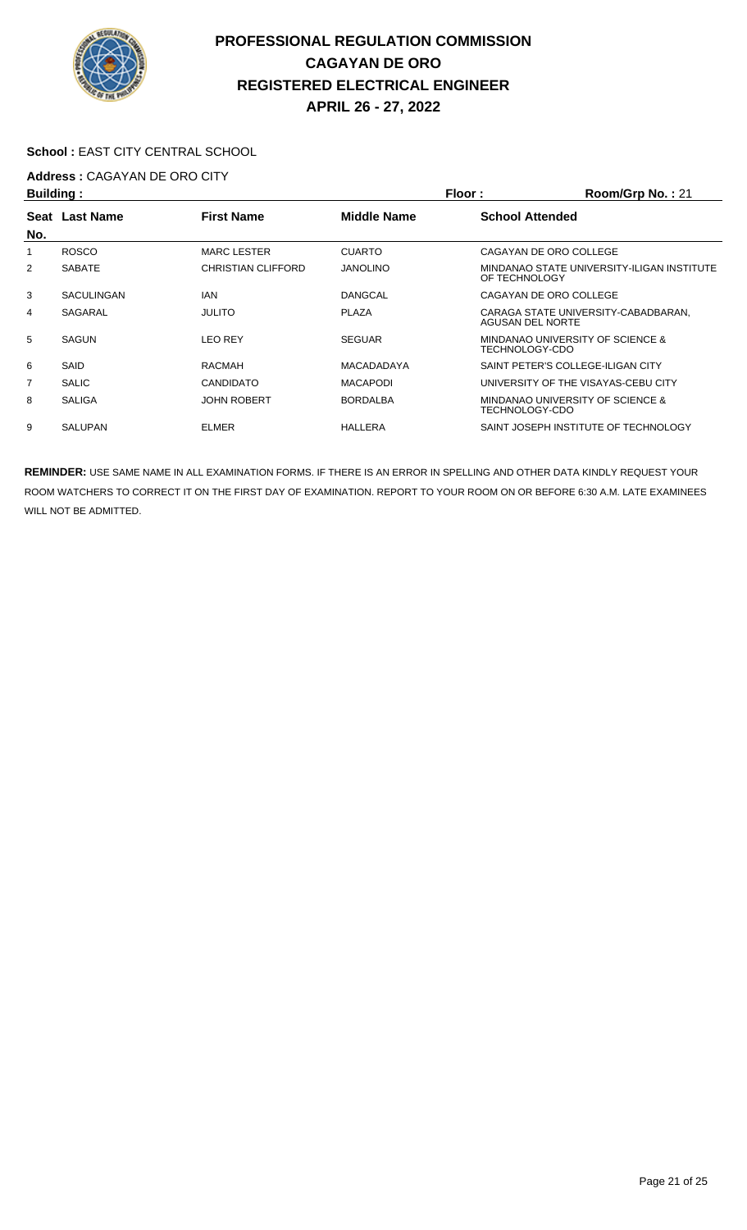

### School : EAST CITY CENTRAL SCHOOL

# **Address :** CAGAYAN DE ORO CITY

| <b>Building:</b> |                   |                           | Floor:             | Room/Grp No.: 21       |                                             |
|------------------|-------------------|---------------------------|--------------------|------------------------|---------------------------------------------|
|                  | Seat Last Name    | <b>First Name</b>         | <b>Middle Name</b> | <b>School Attended</b> |                                             |
| No.              |                   |                           |                    |                        |                                             |
|                  | <b>ROSCO</b>      | <b>MARC LESTER</b>        | <b>CUARTO</b>      |                        | CAGAYAN DE ORO COLLEGE                      |
| 2                | <b>SABATE</b>     | <b>CHRISTIAN CLIFFORD</b> | <b>JANOLINO</b>    | OF TECHNOLOGY          | MINDANAO STATE UNIVERSITY-ILIGAN INSTITUTE  |
| 3                | <b>SACULINGAN</b> | <b>IAN</b>                | <b>DANGCAL</b>     |                        | CAGAYAN DE ORO COLLEGE                      |
| 4                | SAGARAL           | <b>JULITO</b>             | <b>PLAZA</b>       | AGUSAN DEL NORTE       | CARAGA STATE UNIVERSITY-CABADBARAN.         |
| 5                | <b>SAGUN</b>      | <b>LEO REY</b>            | <b>SEGUAR</b>      | TECHNOLOGY-CDO         | MINDANAO UNIVERSITY OF SCIENCE &            |
| 6                | SAID              | <b>RACMAH</b>             | <b>MACADADAYA</b>  |                        | SAINT PETER'S COLLEGE-ILIGAN CITY           |
| 7                | <b>SALIC</b>      | <b>CANDIDATO</b>          | <b>MACAPODI</b>    |                        | UNIVERSITY OF THE VISAYAS-CEBU CITY         |
| 8                | <b>SALIGA</b>     | <b>JOHN ROBERT</b>        | <b>BORDALBA</b>    | TECHNOLOGY-CDO         | <b>MINDANAO UNIVERSITY OF SCIENCE &amp;</b> |
| 9                | <b>SALUPAN</b>    | <b>ELMER</b>              | <b>HALLERA</b>     |                        | SAINT JOSEPH INSTITUTE OF TECHNOLOGY        |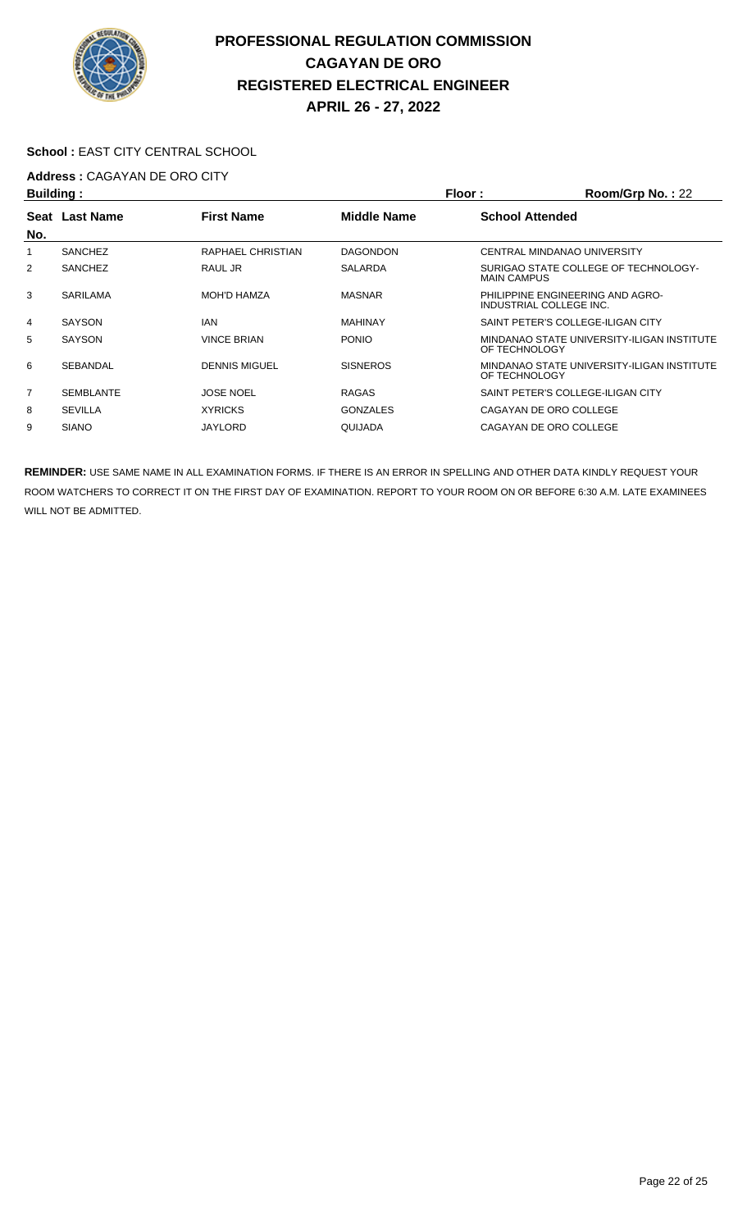

### School : EAST CITY CENTRAL SCHOOL

# **Address :** CAGAYAN DE ORO CITY

| <b>Building:</b> |                  |                      |                    | Floor:<br>Room/Grp No.: 22 |                                                             |
|------------------|------------------|----------------------|--------------------|----------------------------|-------------------------------------------------------------|
|                  | Seat Last Name   | <b>First Name</b>    | <b>Middle Name</b> | <b>School Attended</b>     |                                                             |
| No.              |                  |                      |                    |                            |                                                             |
|                  | <b>SANCHEZ</b>   | RAPHAEL CHRISTIAN    | <b>DAGONDON</b>    |                            | CENTRAL MINDANAO UNIVERSITY                                 |
| 2                | <b>SANCHEZ</b>   | RAUL JR              | <b>SALARDA</b>     | <b>MAIN CAMPUS</b>         | SURIGAO STATE COLLEGE OF TECHNOLOGY-                        |
| 3                | <b>SARILAMA</b>  | <b>MOH'D HAMZA</b>   | <b>MASNAR</b>      |                            | PHILIPPINE ENGINEERING AND AGRO-<br>INDUSTRIAL COLLEGE INC. |
| 4                | <b>SAYSON</b>    | <b>IAN</b>           | <b>MAHINAY</b>     |                            | SAINT PETER'S COLLEGE-ILIGAN CITY                           |
| 5                | SAYSON           | <b>VINCE BRIAN</b>   | <b>PONIO</b>       | OF TECHNOLOGY              | MINDANAO STATE UNIVERSITY-ILIGAN INSTITUTE                  |
| 6                | SEBANDAL         | <b>DENNIS MIGUEL</b> | <b>SISNEROS</b>    | OF TECHNOLOGY              | MINDANAO STATE UNIVERSITY-ILIGAN INSTITUTE                  |
| $\overline{7}$   | <b>SEMBLANTE</b> | <b>JOSE NOEL</b>     | <b>RAGAS</b>       |                            | SAINT PETER'S COLLEGE-ILIGAN CITY                           |
| 8                | <b>SEVILLA</b>   | <b>XYRICKS</b>       | <b>GONZALES</b>    |                            | CAGAYAN DE ORO COLLEGE                                      |
| 9                | <b>SIANO</b>     | JAYLORD              | QUIJADA            |                            | CAGAYAN DE ORO COLLEGE                                      |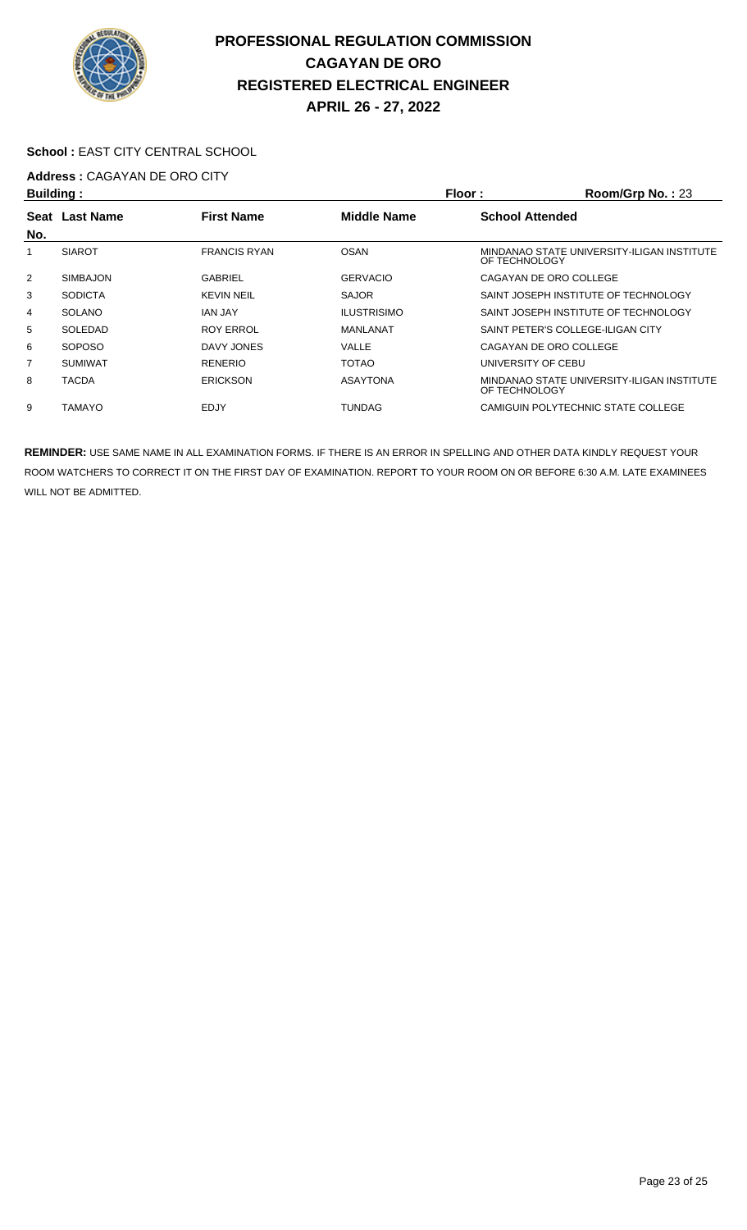

### School : EAST CITY CENTRAL SCHOOL

# **Address :** CAGAYAN DE ORO CITY

| <b>Building:</b> |                  |                     |                    | Floor:<br>Room/Grp No.: 23 |                                            |
|------------------|------------------|---------------------|--------------------|----------------------------|--------------------------------------------|
| Seat             | <b>Last Name</b> | <b>First Name</b>   | <b>Middle Name</b> | <b>School Attended</b>     |                                            |
| No.              |                  |                     |                    |                            |                                            |
|                  | <b>SIAROT</b>    | <b>FRANCIS RYAN</b> | <b>OSAN</b>        | OF TECHNOLOGY              | MINDANAO STATE UNIVERSITY-ILIGAN INSTITUTE |
| $\overline{2}$   | <b>SIMBAJON</b>  | <b>GABRIEL</b>      | <b>GERVACIO</b>    |                            | CAGAYAN DE ORO COLLEGE                     |
| 3                | <b>SODICTA</b>   | <b>KEVIN NEIL</b>   | <b>SAJOR</b>       |                            | SAINT JOSEPH INSTITUTE OF TECHNOLOGY       |
| 4                | <b>SOLANO</b>    | <b>JAN JAY</b>      | <b>ILUSTRISIMO</b> |                            | SAINT JOSEPH INSTITUTE OF TECHNOLOGY       |
| 5                | SOLEDAD          | <b>ROY ERROL</b>    | MANLANAT           |                            | SAINT PETER'S COLLEGE-ILIGAN CITY          |
| 6                | SOPOSO           | DAVY JONES          | VALLE              |                            | CAGAYAN DE ORO COLLEGE                     |
| 7                | <b>SUMIWAT</b>   | <b>RENERIO</b>      | TOTAO              | UNIVERSITY OF CEBU         |                                            |
| 8                | <b>TACDA</b>     | <b>ERICKSON</b>     | <b>ASAYTONA</b>    | OF TECHNOLOGY              | MINDANAO STATE UNIVERSITY-ILIGAN INSTITUTE |
| 9                | TAMAYO           | EDJY                | <b>TUNDAG</b>      |                            | CAMIGUIN POLYTECHNIC STATE COLLEGE         |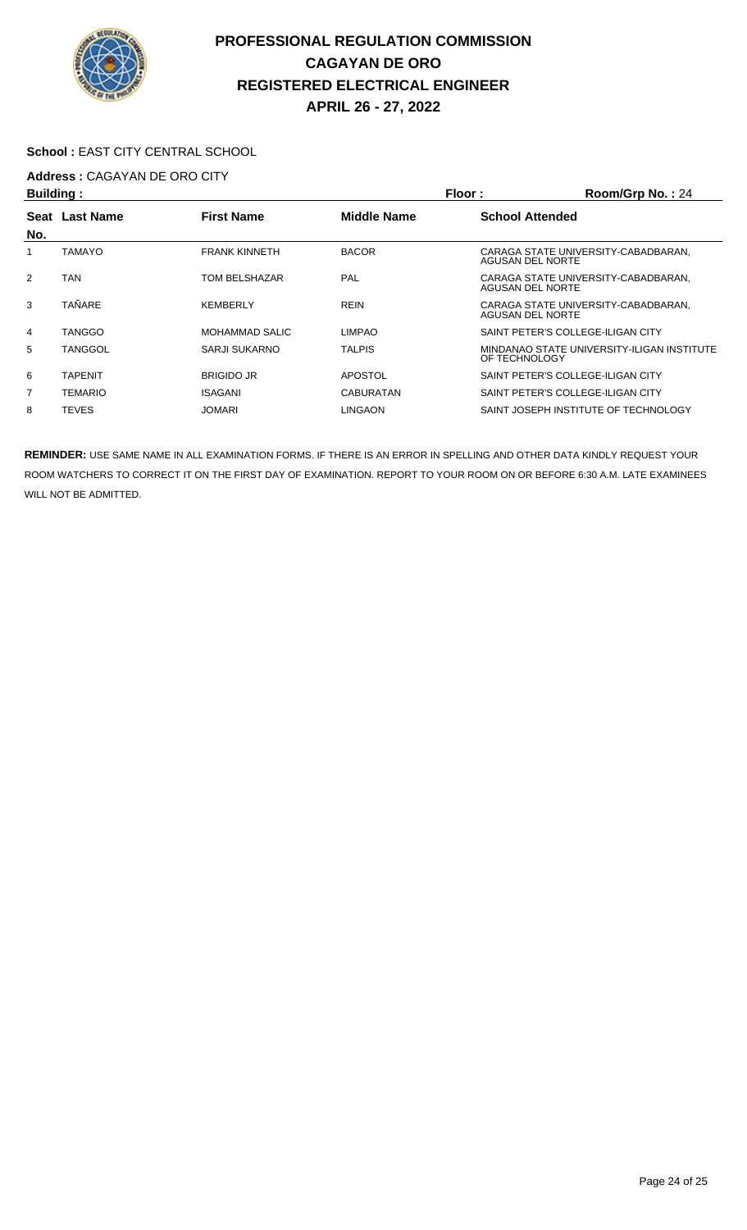

### School : EAST CITY CENTRAL SCHOOL

### **Address :** CAGAYAN DE ORO CITY

| Building: |                  |                       |                    | Floor:<br>Room/Grp No.: 24                                  |  |
|-----------|------------------|-----------------------|--------------------|-------------------------------------------------------------|--|
| Seat      | <b>Last Name</b> | <b>First Name</b>     | <b>Middle Name</b> | <b>School Attended</b>                                      |  |
| No.       |                  |                       |                    |                                                             |  |
|           | TAMAYO           | <b>FRANK KINNETH</b>  | <b>BACOR</b>       | CARAGA STATE UNIVERSITY-CABADBARAN.<br>AGUSAN DEL NORTE     |  |
| 2         | TAN              | TOM BELSHAZAR         | PAL                | CARAGA STATE UNIVERSITY-CABADBARAN.<br>AGUSAN DEL NORTE     |  |
| 3         | <b>TAÑARE</b>    | <b>KEMBERLY</b>       | <b>REIN</b>        | CARAGA STATE UNIVERSITY-CABADBARAN.<br>AGUSAN DEL NORTE     |  |
| 4         | TANGGO           | <b>MOHAMMAD SALIC</b> | <b>LIMPAO</b>      | SAINT PETER'S COLLEGE-ILIGAN CITY                           |  |
| 5         | TANGGOL          | SARJI SUKARNO         | TALPIS             | MINDANAO STATE UNIVERSITY-ILIGAN INSTITUTE<br>OF TECHNOLOGY |  |
| 6         | <b>TAPENIT</b>   | <b>BRIGIDO JR</b>     | <b>APOSTOL</b>     | SAINT PETER'S COLLEGE-ILIGAN CITY                           |  |
| 7         | <b>TEMARIO</b>   | <b>ISAGANI</b>        | <b>CABURATAN</b>   | SAINT PETER'S COLLEGE-ILIGAN CITY                           |  |
| 8         | TEVES            | JOMARI                | <b>LINGAON</b>     | SAINT JOSEPH INSTITUTE OF TECHNOLOGY                        |  |